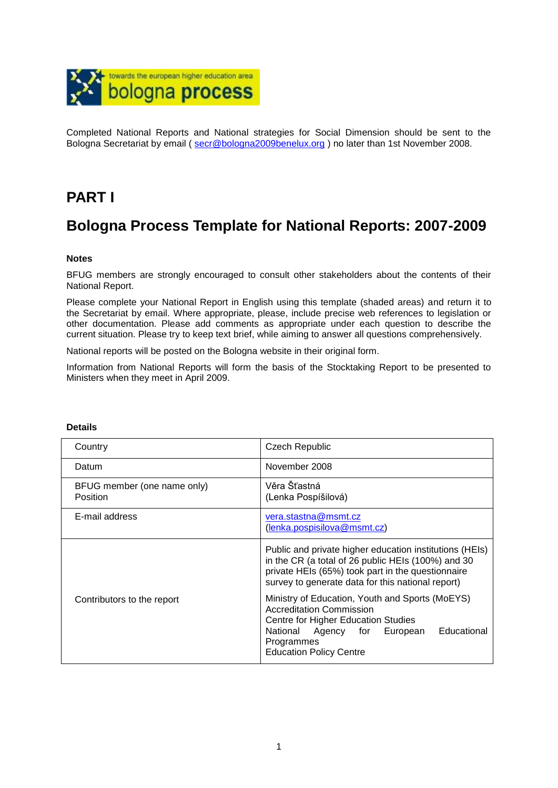

Completed National Reports and National strategies for Social Dimension should be sent to the Bologna Secretariat by email ( [secr@bologna2009benelux.org](mailto:secr@bologna2009benelux.org) ) no later than 1st November 2008.

# **PART I**

# **Bologna Process Template for National Reports: 2007-2009**

#### **Notes**

BFUG members are strongly encouraged to consult other stakeholders about the contents of their National Report.

Please complete your National Report in English using this template (shaded areas) and return it to the Secretariat by email. Where appropriate, please, include precise web references to legislation or other documentation. Please add comments as appropriate under each question to describe the current situation. Please try to keep text brief, while aiming to answer all questions comprehensively.

National reports will be posted on the Bologna website in their original form.

Information from National Reports will form the basis of the Stocktaking Report to be presented to Ministers when they meet in April 2009.

| Country                                 | <b>Czech Republic</b>                                                                                                                                                                                                                                                                                                                                                                               |  |  |
|-----------------------------------------|-----------------------------------------------------------------------------------------------------------------------------------------------------------------------------------------------------------------------------------------------------------------------------------------------------------------------------------------------------------------------------------------------------|--|--|
| Datum                                   | November 2008                                                                                                                                                                                                                                                                                                                                                                                       |  |  |
| BFUG member (one name only)<br>Position | Věra Šťastná<br>(Lenka Pospíšilová)                                                                                                                                                                                                                                                                                                                                                                 |  |  |
| E-mail address                          | vera.stastna@msmt.cz<br>(lenka.pospisilova@msmt.cz)                                                                                                                                                                                                                                                                                                                                                 |  |  |
| Contributors to the report              | Public and private higher education institutions (HEIs)<br>in the CR (a total of 26 public HEIs (100%) and 30<br>private HEIs (65%) took part in the questionnaire<br>survey to generate data for this national report)<br>Ministry of Education, Youth and Sports (MoEYS)<br><b>Accreditation Commission</b><br>Centre for Higher Education Studies<br>National Agency for European<br>Educational |  |  |
|                                         | Programmes<br><b>Education Policy Centre</b>                                                                                                                                                                                                                                                                                                                                                        |  |  |

#### **Details**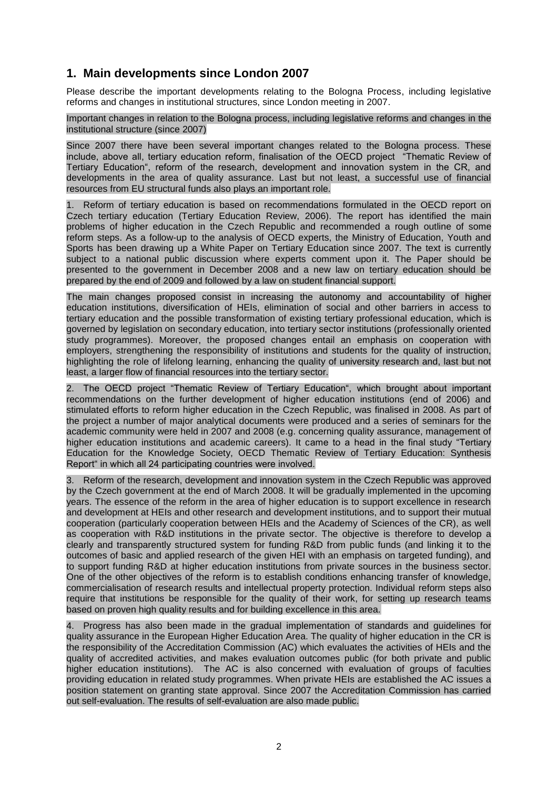## **1. Main developments since London 2007**

Please describe the important developments relating to the Bologna Process, including legislative reforms and changes in institutional structures, since London meeting in 2007.

Important changes in relation to the Bologna process, including legislative reforms and changes in the institutional structure (since 2007)

Since 2007 there have been several important changes related to the Bologna process. These include, above all, tertiary education reform, finalisation of the OECD project "Thematic Review of Tertiary Education", reform of the research, development and innovation system in the CR, and developments in the area of quality assurance. Last but not least, a successful use of financial resources from EU structural funds also plays an important role.

1. Reform of tertiary education is based on recommendations formulated in the OECD report on Czech tertiary education (Tertiary Education Review, 2006). The report has identified the main problems of higher education in the Czech Republic and recommended a rough outline of some reform steps. As a follow-up to the analysis of OECD experts, the Ministry of Education, Youth and Sports has been drawing up a White Paper on Tertiary Education since 2007. The text is currently subject to a national public discussion where experts comment upon it. The Paper should be presented to the government in December 2008 and a new law on tertiary education should be prepared by the end of 2009 and followed by a law on student financial support.

The main changes proposed consist in increasing the autonomy and accountability of higher education institutions, diversification of HEIs, elimination of social and other barriers in access to tertiary education and the possible transformation of existing tertiary professional education, which is governed by legislation on secondary education, into tertiary sector institutions (professionally oriented study programmes). Moreover, the proposed changes entail an emphasis on cooperation with employers, strengthening the responsibility of institutions and students for the quality of instruction, highlighting the role of lifelong learning, enhancing the quality of university research and, last but not least, a larger flow of financial resources into the tertiary sector.

2. The OECD project "Thematic Review of Tertiary Education", which brought about important recommendations on the further development of higher education institutions (end of 2006) and stimulated efforts to reform higher education in the Czech Republic, was finalised in 2008. As part of the project a number of major analytical documents were produced and a series of seminars for the academic community were held in 2007 and 2008 (e.g. concerning quality assurance, management of higher education institutions and academic careers). It came to a head in the final study "Tertiary Education for the Knowledge Society, OECD Thematic Review of Tertiary Education: Synthesis Report" in which all 24 participating countries were involved.

3. Reform of the research, development and innovation system in the Czech Republic was approved by the Czech government at the end of March 2008. It will be gradually implemented in the upcoming years. The essence of the reform in the area of higher education is to support excellence in research and development at HEIs and other research and development institutions, and to support their mutual cooperation (particularly cooperation between HEIs and the Academy of Sciences of the CR), as well as cooperation with R&D institutions in the private sector. The objective is therefore to develop a clearly and transparently structured system for funding R&D from public funds (and linking it to the outcomes of basic and applied research of the given HEI with an emphasis on targeted funding), and to support funding R&D at higher education institutions from private sources in the business sector. One of the other objectives of the reform is to establish conditions enhancing transfer of knowledge, commercialisation of research results and intellectual property protection. Individual reform steps also require that institutions be responsible for the quality of their work, for setting up research teams based on proven high quality results and for building excellence in this area.

4. Progress has also been made in the gradual implementation of standards and guidelines for quality assurance in the European Higher Education Area. The quality of higher education in the CR is the responsibility of the Accreditation Commission (AC) which evaluates the activities of HEIs and the quality of accredited activities, and makes evaluation outcomes public (for both private and public higher education institutions). The AC is also concerned with evaluation of groups of faculties providing education in related study programmes. When private HEIs are established the AC issues a position statement on granting state approval. Since 2007 the Accreditation Commission has carried out self-evaluation. The results of self-evaluation are also made public.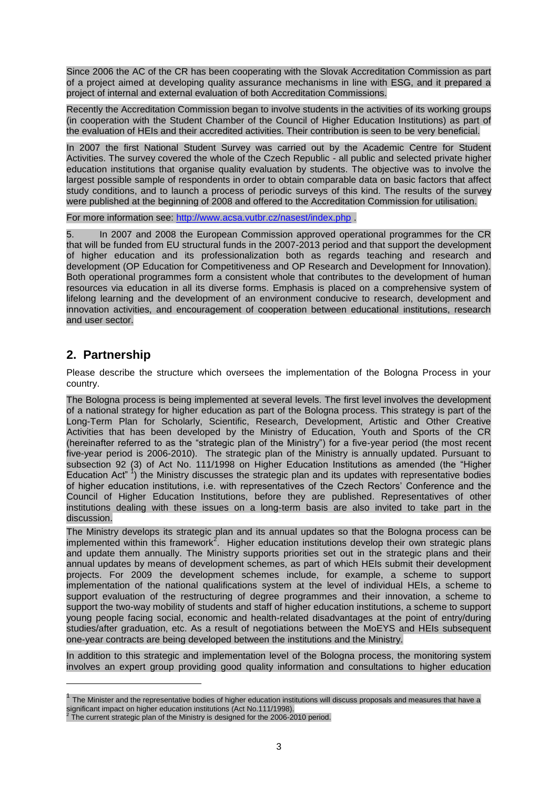Since 2006 the AC of the CR has been cooperating with the Slovak Accreditation Commission as part of a project aimed at developing quality assurance mechanisms in line with ESG, and it prepared a project of internal and external evaluation of both Accreditation Commissions.

Recently the Accreditation Commission began to involve students in the activities of its working groups (in cooperation with the Student Chamber of the Council of Higher Education Institutions) as part of the evaluation of HEIs and their accredited activities. Their contribution is seen to be very beneficial.

In 2007 the first National Student Survey was carried out by the Academic Centre for Student Activities. The survey covered the whole of the Czech Republic - all public and selected private higher education institutions that organise quality evaluation by students. The objective was to involve the largest possible sample of respondents in order to obtain comparable data on basic factors that affect study conditions, and to launch a process of periodic surveys of this kind. The results of the survey were published at the beginning of 2008 and offered to the Accreditation Commission for utilisation.

For more information see:<http://www.acsa.vutbr.cz/nasest/index.php> .

5. In 2007 and 2008 the European Commission approved operational programmes for the CR that will be funded from EU structural funds in the 2007-2013 period and that support the development of higher education and its professionalization both as regards teaching and research and development (OP Education for Competitiveness and OP Research and Development for Innovation). Both operational programmes form a consistent whole that contributes to the development of human resources via education in all its diverse forms. Emphasis is placed on a comprehensive system of lifelong learning and the development of an environment conducive to research, development and innovation activities, and encouragement of cooperation between educational institutions, research and user sector.

## **2. Partnership**

l

Please describe the structure which oversees the implementation of the Bologna Process in your country.

The Bologna process is being implemented at several levels. The first level involves the development of a national strategy for higher education as part of the Bologna process. This strategy is part of the Long-Term Plan for Scholarly, Scientific, Research, Development, Artistic and Other Creative Activities that has been developed by the Ministry of Education, Youth and Sports of the CR (hereinafter referred to as the "strategic plan of the Ministry") for a five-year period (the most recent five-year period is 2006-2010). The strategic plan of the Ministry is annually updated. Pursuant to subsection 92 (3) of Act No. 111/1998 on Higher Education Institutions as amended (the "Higher Education Act"  $\hat{I}$ ) the Ministry discusses the strategic plan and its updates with representative bodies of higher education institutions, i.e. with representatives of the Czech Rectors" Conference and the Council of Higher Education Institutions, before they are published. Representatives of other institutions dealing with these issues on a long-term basis are also invited to take part in the discussion.

The Ministry develops its strategic plan and its annual updates so that the Bologna process can be implemented within this framework<sup>2</sup>. Higher education institutions develop their own strategic plans and update them annually. The Ministry supports priorities set out in the strategic plans and their annual updates by means of development schemes, as part of which HEIs submit their development projects. For 2009 the development schemes include, for example, a scheme to support implementation of the national qualifications system at the level of individual HEIs, a scheme to support evaluation of the restructuring of degree programmes and their innovation, a scheme to support the two-way mobility of students and staff of higher education institutions, a scheme to support young people facing social, economic and health-related disadvantages at the point of entry/during studies/after graduation, etc. As a result of negotiations between the MoEYS and HEIs subsequent one-year contracts are being developed between the institutions and the Ministry.

In addition to this strategic and implementation level of the Bologna process, the monitoring system involves an expert group providing good quality information and consultations to higher education

<sup>1</sup> The Minister and the representative bodies of higher education institutions will discuss proposals and measures that have a

significant impact on higher education institutions (Act No.111/1998).<br><sup>2</sup> The current strategic plan of the Ministry is designed for the 2006-2010 period.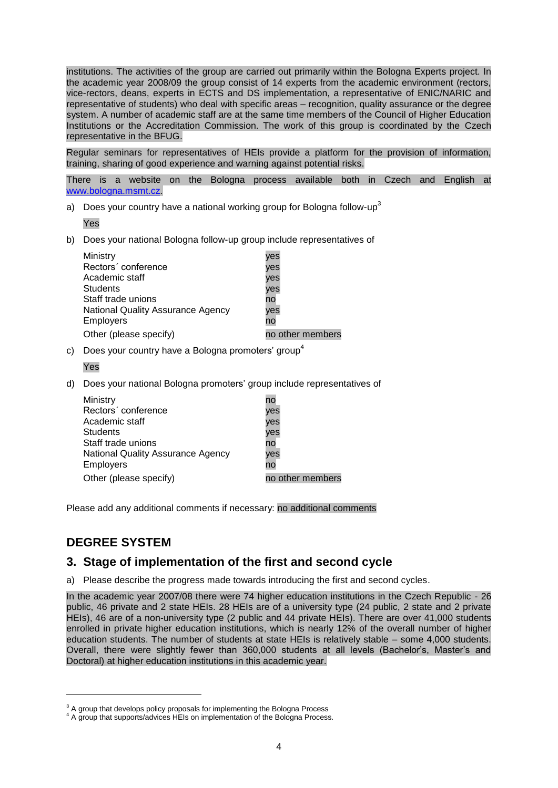institutions. The activities of the group are carried out primarily within the Bologna Experts project. In the academic year 2008/09 the group consist of 14 experts from the academic environment (rectors, vice-rectors, deans, experts in ECTS and DS implementation, a representative of ENIC/NARIC and representative of students) who deal with specific areas – recognition, quality assurance or the degree system. A number of academic staff are at the same time members of the Council of Higher Education Institutions or the Accreditation Commission. The work of this group is coordinated by the Czech representative in the BFUG.

Regular seminars for representatives of HEIs provide a platform for the provision of information, training, sharing of good experience and warning against potential risks.

There is a website on the Bologna process available both in Czech and English at [www.bologna.msmt.cz.](http://www.bologna.msmt.cz/)

a) Does your country have a national working group for Bologna follow-up<sup>3</sup>

Yes

b) Does your national Bologna follow-up group include representatives of

| Ministry                                 | yes              |
|------------------------------------------|------------------|
| Rectors' conference                      | yes              |
| Academic staff                           | yes              |
| Students                                 | yes              |
| Staff trade unions                       | no               |
| <b>National Quality Assurance Agency</b> | yes              |
| <b>Employers</b>                         | no               |
| Other (please specify)                   | no other members |

c) Does your country have a Bologna promoters' group<sup>4</sup>

Yes

d) Does your national Bologna promoters" group include representatives of

| Ministry                                 | no               |
|------------------------------------------|------------------|
| Rectors' conference                      | yes              |
| Academic staff                           | ves              |
| <b>Students</b>                          | yes              |
| Staff trade unions                       | no               |
| <b>National Quality Assurance Agency</b> | yes              |
| <b>Employers</b>                         | no               |
| Other (please specify)                   | no other members |

Please add any additional comments if necessary: no additional comments

## **DEGREE SYSTEM**

l

## **3. Stage of implementation of the first and second cycle**

a) Please describe the progress made towards introducing the first and second cycles.

In the academic year 2007/08 there were 74 higher education institutions in the Czech Republic - 26 public, 46 private and 2 state HEIs. 28 HEIs are of a university type (24 public, 2 state and 2 private HEIs), 46 are of a non-university type (2 public and 44 private HEIs). There are over 41,000 students enrolled in private higher education institutions, which is nearly 12% of the overall number of higher education students. The number of students at state HEIs is relatively stable – some 4,000 students. Overall, there were slightly fewer than 360,000 students at all levels (Bachelor's, Master's and Doctoral) at higher education institutions in this academic year.

 $3$  A group that develops policy proposals for implementing the Bologna Process

<sup>&</sup>lt;sup>4</sup> A group that supports/advices HEIs on implementation of the Bologna Process.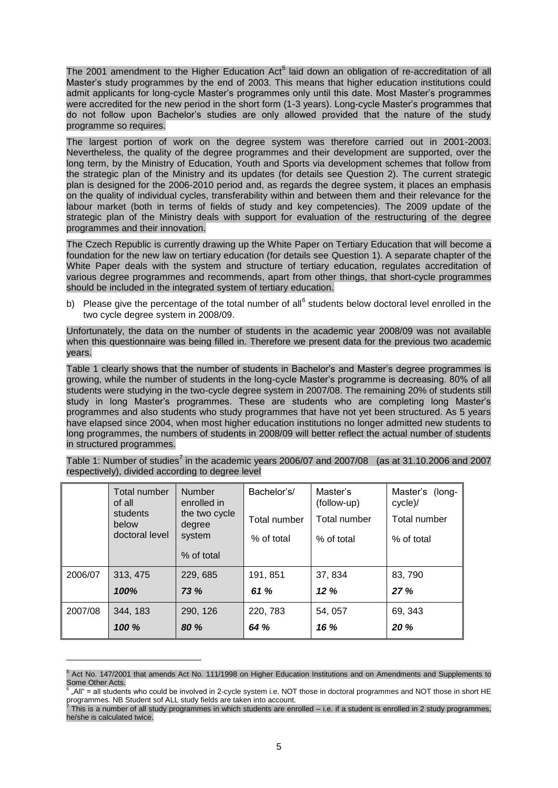The 2001 amendment to the Higher Education Act<sup>5</sup> laid down an obligation of re-accreditation of all Master"s study programmes by the end of 2003. This means that higher education institutions could admit applicants for long-cycle Master"s programmes only until this date. Most Master"s programmes were accredited for the new period in the short form (1-3 years). Long-cycle Master's programmes that do not follow upon Bachelor"s studies are only allowed provided that the nature of the study programme so requires.

The largest portion of work on the degree system was therefore carried out in 2001-2003. Nevertheless, the quality of the degree programmes and their development are supported, over the long term, by the Ministry of Education, Youth and Sports via development schemes that follow from the strategic plan of the Ministry and its updates (for details see Question 2). The current strategic plan is designed for the 2006-2010 period and, as regards the degree system, it places an emphasis on the quality of individual cycles, transferability within and between them and their relevance for the labour market (both in terms of fields of study and key competencies). The 2009 update of the strategic plan of the Ministry deals with support for evaluation of the restructuring of the degree programmes and their innovation.

The Czech Republic is currently drawing up the White Paper on Tertiary Education that will become a foundation for the new law on tertiary education (for details see Question 1). A separate chapter of the White Paper deals with the system and structure of tertiary education, regulates accreditation of various degree programmes and recommends, apart from other things, that short-cycle programmes should be included in the integrated system of tertiary education.

b) Please give the percentage of the total number of all<sup>6</sup> students below doctoral level enrolled in the two cycle degree system in 2008/09.

Unfortunately, the data on the number of students in the academic year 2008/09 was not available when this questionnaire was being filled in. Therefore we present data for the previous two academic years.

Table 1 clearly shows that the number of students in Bachelor"s and Master"s degree programmes is growing, while the number of students in the long-cycle Master"s programme is decreasing. 80% of all students were studying in the two-cycle degree system in 2007/08. The remaining 20% of students still study in long Master's programmes. These are students who are completing long Master's programmes and also students who study programmes that have not yet been structured. As 5 years have elapsed since 2004, when most higher education institutions no longer admitted new students to long programmes, the numbers of students in 2008/09 will better reflect the actual number of students in structured programmes.

Table 1: Number of studies<sup>7</sup> in the academic years 2006/07 and 2007/08 (as at 31.10.2006 and 2007 respectively), divided according to degree level

|         | Total number<br>of all<br>students<br>below<br>doctoral level | <b>Number</b><br>enrolled in<br>the two cycle<br>degree<br>system<br>% of total | Bachelor's/<br>Total number<br>% of total | Master's<br>(follow-up)<br>Total number<br>% of total | Master's (long-<br>cycle)/<br>Total number<br>% of total |
|---------|---------------------------------------------------------------|---------------------------------------------------------------------------------|-------------------------------------------|-------------------------------------------------------|----------------------------------------------------------|
| 2006/07 | 313, 475                                                      | 229, 685                                                                        | 191, 851                                  | 37, 834                                               | 83, 790                                                  |
|         | 100%                                                          | 73 %                                                                            | 61 %                                      | 12%                                                   | 27%                                                      |
| 2007/08 | 344, 183                                                      | 290, 126                                                                        | 220, 783                                  | 54, 057                                               | 69, 343                                                  |
|         | 100 %                                                         | 80 %                                                                            | 64 %                                      | 16 %                                                  | 20 %                                                     |

<sup>5</sup> Act No. 147/2001 that amends Act No. 111/1998 on Higher Education Institutions and on Amendments and Supplements to Some Other Acts.

<sup>6</sup> "All" = all students who could be involved in 2-cycle system i.e. NOT those in doctoral programmes and NOT those in short HE programmes. NB Student sof ALL study fields are taken into account.<br><sup>7</sup> This is a number of all otudy programmes in which atudants are an

This is a number of all study programmes in which students are enrolled – i.e. if a student is enrolled in 2 study programmes, he/she is calculated twice.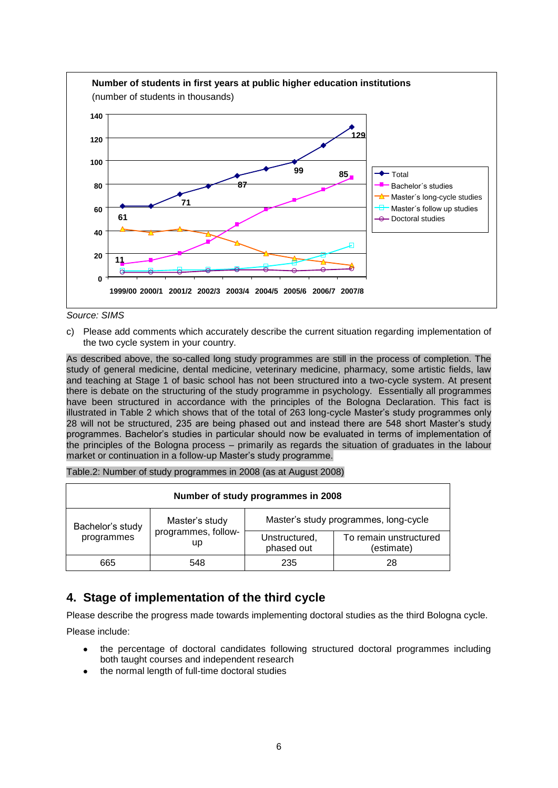

*Source: SIMS*

c) Please add comments which accurately describe the current situation regarding implementation of the two cycle system in your country.

As described above, the so-called long study programmes are still in the process of completion. The study of general medicine, dental medicine, veterinary medicine, pharmacy, some artistic fields, law and teaching at Stage 1 of basic school has not been structured into a two-cycle system. At present there is debate on the structuring of the study programme in psychology. Essentially all programmes have been structured in accordance with the principles of the Bologna Declaration. This fact is illustrated in Table 2 which shows that of the total of 263 long-cycle Master"s study programmes only 28 will not be structured, 235 are being phased out and instead there are 548 short Master"s study programmes. Bachelor"s studies in particular should now be evaluated in terms of implementation of the principles of the Bologna process – primarily as regards the situation of graduates in the labour market or continuation in a follow-up Master"s study programme.

| Number of study programmes in 2008                                            |                                       |                                      |    |
|-------------------------------------------------------------------------------|---------------------------------------|--------------------------------------|----|
| Master's study<br>Bachelor's study<br>programmes, follow-<br>programmes<br>up | Master's study programmes, long-cycle |                                      |    |
|                                                                               | Unstructured,<br>phased out           | To remain unstructured<br>(estimate) |    |
| 665                                                                           | 548                                   | 235                                  | 28 |

#### Table.2: Number of study programmes in 2008 (as at August 2008)

## **4. Stage of implementation of the third cycle**

Please describe the progress made towards implementing doctoral studies as the third Bologna cycle.

Please include:

- the percentage of doctoral candidates following structured doctoral programmes including both taught courses and independent research
- the normal length of full-time doctoral studies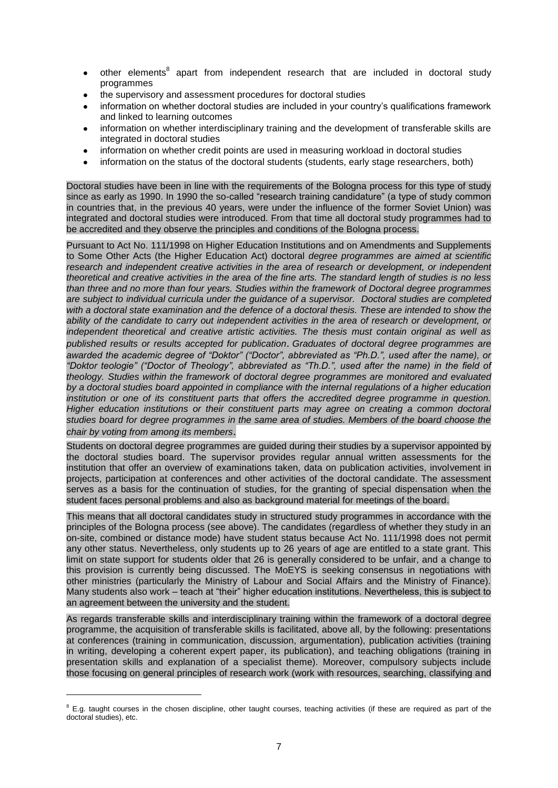- other elements<sup>8</sup> apart from independent research that are included in doctoral study  $\bullet$ programmes
- the supervisory and assessment procedures for doctoral studies
- information on whether doctoral studies are included in your country"s qualifications framework and linked to learning outcomes
- information on whether interdisciplinary training and the development of transferable skills are integrated in doctoral studies
- information on whether credit points are used in measuring workload in doctoral studies  $\bullet$
- information on the status of the doctoral students (students, early stage researchers, both)

Doctoral studies have been in line with the requirements of the Bologna process for this type of study since as early as 1990. In 1990 the so-called "research training candidature" (a type of study common in countries that, in the previous 40 years, were under the influence of the former Soviet Union) was integrated and doctoral studies were introduced. From that time all doctoral study programmes had to be accredited and they observe the principles and conditions of the Bologna process.

Pursuant to Act No. 111/1998 on Higher Education Institutions and on Amendments and Supplements to Some Other Acts (the Higher Education Act) doctoral *degree programmes are aimed at scientific*  research and independent creative activities in the area of research or development, or independent *theoretical and creative activities in the area of the fine arts. The standard length of studies is no less than three and no more than four years. Studies within the framework of Doctoral degree programmes are subject to individual curricula under the guidance of a supervisor. Doctoral studies are completed with a doctoral state examination and the defence of a doctoral thesis. These are intended to show the ability of the candidate to carry out independent activities in the area of research or development, or independent theoretical and creative artistic activities. The thesis must contain original as well as published results or results accepted for publication*. *Graduates of doctoral degree programmes are awarded the academic degree of "Doktor" ("Doctor", abbreviated as "Ph.D.", used after the name), or "Doktor teologie" ("Doctor of Theology", abbreviated as "Th.D.", used after the name) in the field of theology. Studies within the framework of doctoral degree programmes are monitored and evaluated by a doctoral studies board appointed in compliance with the internal regulations of a higher education institution or one of its constituent parts that offers the accredited degree programme in question. Higher education institutions or their constituent parts may agree on creating a common doctoral studies board for degree programmes in the same area of studies. Members of the board choose the chair by voting from among its members*.

Students on doctoral degree programmes are guided during their studies by a supervisor appointed by the doctoral studies board. The supervisor provides regular annual written assessments for the institution that offer an overview of examinations taken, data on publication activities, involvement in projects, participation at conferences and other activities of the doctoral candidate. The assessment serves as a basis for the continuation of studies, for the granting of special dispensation when the student faces personal problems and also as background material for meetings of the board.

This means that all doctoral candidates study in structured study programmes in accordance with the principles of the Bologna process (see above). The candidates (regardless of whether they study in an on-site, combined or distance mode) have student status because Act No. 111/1998 does not permit any other status. Nevertheless, only students up to 26 years of age are entitled to a state grant. This limit on state support for students older that 26 is generally considered to be unfair, and a change to this provision is currently being discussed. The MoEYS is seeking consensus in negotiations with other ministries (particularly the Ministry of Labour and Social Affairs and the Ministry of Finance). Many students also work – teach at "their" higher education institutions. Nevertheless, this is subject to an agreement between the university and the student.

As regards transferable skills and interdisciplinary training within the framework of a doctoral degree programme, the acquisition of transferable skills is facilitated, above all, by the following: presentations at conferences (training in communication, discussion, argumentation), publication activities (training in writing, developing a coherent expert paper, its publication), and teaching obligations (training in presentation skills and explanation of a specialist theme). Moreover, compulsory subjects include those focusing on general principles of research work (work with resources, searching, classifying and

 $8$  E.g. taught courses in the chosen discipline, other taught courses, teaching activities (if these are required as part of the doctoral studies), etc.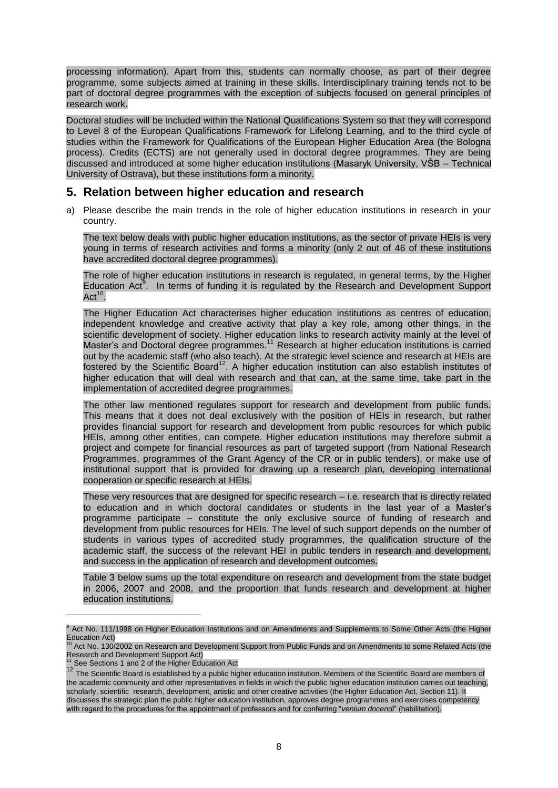processing information). Apart from this, students can normally choose, as part of their degree programme, some subjects aimed at training in these skills. Interdisciplinary training tends not to be part of doctoral degree programmes with the exception of subjects focused on general principles of research work.

Doctoral studies will be included within the National Qualifications System so that they will correspond to Level 8 of the European Qualifications Framework for Lifelong Learning, and to the third cycle of studies within the Framework for Qualifications of the European Higher Education Area (the Bologna process). Credits (ECTS) are not generally used in doctoral degree programmes. They are being discussed and introduced at some higher education institutions (Masaryk University, VŠB – Technical University of Ostrava), but these institutions form a minority.

### **5. Relation between higher education and research**

a) Please describe the main trends in the role of higher education institutions in research in your country.

The text below deals with public higher education institutions, as the sector of private HEIs is very young in terms of research activities and forms a minority (only 2 out of 46 of these institutions have accredited doctoral degree programmes).

The role of higher education institutions in research is regulated, in general terms, by the Higher Education Act<sup>9</sup>. In terms of funding it is regulated by the Research and Development Support Act $10$ .

The Higher Education Act characterises higher education institutions as centres of education, independent knowledge and creative activity that play a key role, among other things, in the scientific development of society. Higher education links to research activity mainly at the level of Master's and Doctoral degree programmes.<sup>11</sup> Research at higher education institutions is carried out by the academic staff (who also teach). At the strategic level science and research at HEIs are fostered by the Scientific Board<sup>12</sup>. A higher education institution can also establish institutes of higher education that will deal with research and that can, at the same time, take part in the implementation of accredited degree programmes.

The other law mentioned regulates support for research and development from public funds. This means that it does not deal exclusively with the position of HEIs in research, but rather provides financial support for research and development from public resources for which public HEIs, among other entities, can compete. Higher education institutions may therefore submit a project and compete for financial resources as part of targeted support (from National Research Programmes, programmes of the Grant Agency of the CR or in public tenders), or make use of institutional support that is provided for drawing up a research plan, developing international cooperation or specific research at HEIs.

These very resources that are designed for specific research – i.e. research that is directly related to education and in which doctoral candidates or students in the last year of a Master"s programme participate – constitute the only exclusive source of funding of research and development from public resources for HEIs. The level of such support depends on the number of students in various types of accredited study programmes, the qualification structure of the academic staff, the success of the relevant HEI in public tenders in research and development, and success in the application of research and development outcomes.

Table 3 below sums up the total expenditure on research and development from the state budget in 2006, 2007 and 2008, and the proportion that funds research and development at higher education institutions.

Act No. 111/1998 on Higher Education Institutions and on Amendments and Supplements to Some Other Acts (the Higher Education Act)

<sup>1&</sup>lt;br><sup>2</sup> Act No. 130/2002 on Research and Development Support from Public Funds and on Amendments to some Related Acts (the Research and Development Support Act)

See Sections 1 and 2 of the Higher Education Act

<sup>12</sup> The Scientific Board is established by a public higher education institution. Members of the Scientific Board are members of the academic community and other representatives in fields in which the public higher education institution carries out teaching, scholarly, scientific research, development, artistic and other creative activities (the Higher Education Act, Section 11). It discusses the strategic plan the public higher education institution, approves degree programmes and exercises competency with regard to the procedures for the appointment of professors and for conferring "*venium docendi*" (habilitation).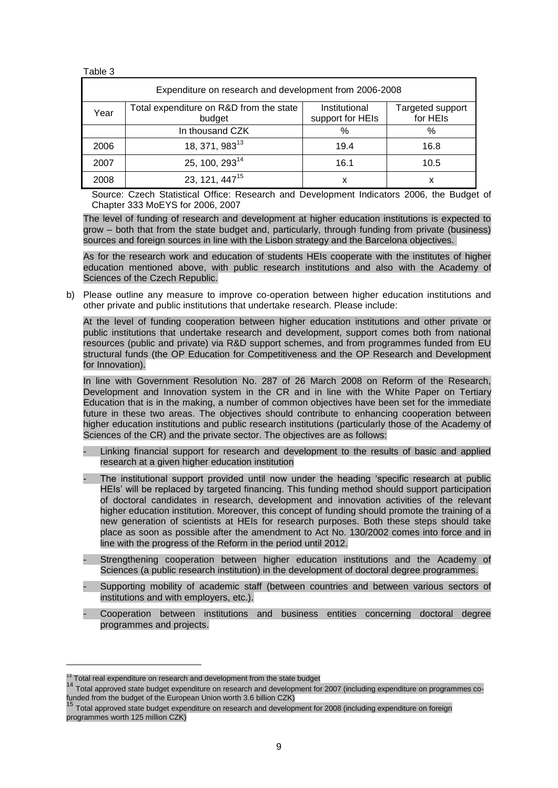Table 3

| Expenditure on research and development from 2006-2008 |                                                   |                                   |                              |  |
|--------------------------------------------------------|---------------------------------------------------|-----------------------------------|------------------------------|--|
| Year                                                   | Total expenditure on R&D from the state<br>budget | Institutional<br>support for HEIs | Targeted support<br>for HEIs |  |
|                                                        | In thousand CZK                                   | %                                 | %                            |  |
| 2006                                                   | 18, 371, 983 <sup>13</sup>                        | 19.4                              | 16.8                         |  |
| 2007                                                   | 25, 100, 293 $^{14}$                              | 16.1                              | 10.5                         |  |
| 2008                                                   | 23, 121, 447 <sup>15</sup>                        | x                                 | x                            |  |

Source: Czech Statistical Office: Research and Development Indicators 2006, the Budget of Chapter 333 MoEYS for 2006, 2007

The level of funding of research and development at higher education institutions is expected to grow – both that from the state budget and, particularly, through funding from private (business) sources and foreign sources in line with the Lisbon strategy and the Barcelona objectives.

As for the research work and education of students HEIs cooperate with the institutes of higher education mentioned above, with public research institutions and also with the Academy of Sciences of the Czech Republic.

b) Please outline any measure to improve co-operation between higher education institutions and other private and public institutions that undertake research. Please include:

At the level of funding cooperation between higher education institutions and other private or public institutions that undertake research and development, support comes both from national resources (public and private) via R&D support schemes, and from programmes funded from EU structural funds (the OP Education for Competitiveness and the OP Research and Development for Innovation).

In line with Government Resolution No. 287 of 26 March 2008 on Reform of the Research, Development and Innovation system in the CR and in line with the White Paper on Tertiary Education that is in the making, a number of common objectives have been set for the immediate future in these two areas. The objectives should contribute to enhancing cooperation between higher education institutions and public research institutions (particularly those of the Academy of Sciences of the CR) and the private sector. The objectives are as follows:

- Linking financial support for research and development to the results of basic and applied research at a given higher education institution
- The institutional support provided until now under the heading 'specific research at public HEIs" will be replaced by targeted financing. This funding method should support participation of doctoral candidates in research, development and innovation activities of the relevant higher education institution. Moreover, this concept of funding should promote the training of a new generation of scientists at HEIs for research purposes. Both these steps should take place as soon as possible after the amendment to Act No. 130/2002 comes into force and in line with the progress of the Reform in the period until 2012.
- Strengthening cooperation between higher education institutions and the Academy of Sciences (a public research institution) in the development of doctoral degree programmes.
- Supporting mobility of academic staff (between countries and between various sectors of institutions and with employers, etc.).
- Cooperation between institutions and business entities concerning doctoral degree programmes and projects.

 $3$  Total real expenditure on research and development from the state budget

<sup>14</sup> Total approved state budget expenditure on research and development for 2007 (including expenditure on programmes cofunded from the budget of the European Union worth 3.6 billion CZK)

<sup>&</sup>lt;sup>15</sup> Total approved state budget expenditure on research and development for 2008 (including expenditure on foreign programmes worth 125 million CZK)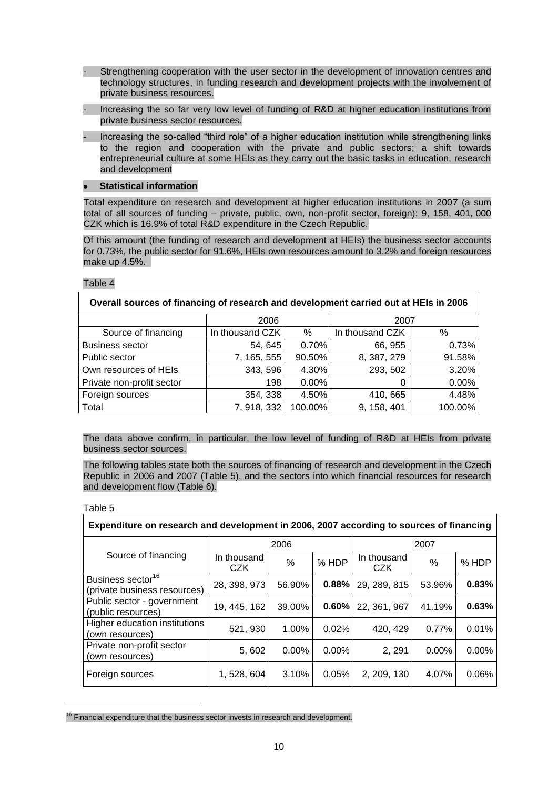- Strengthening cooperation with the user sector in the development of innovation centres and technology structures, in funding research and development projects with the involvement of private business resources.
- Increasing the so far very low level of funding of R&D at higher education institutions from private business sector resources.
- Increasing the so-called "third role" of a higher education institution while strengthening links to the region and cooperation with the private and public sectors; a shift towards entrepreneurial culture at some HEIs as they carry out the basic tasks in education, research and development

#### **Statistical information**

Total expenditure on research and development at higher education institutions in 2007 (a sum total of all sources of funding – private, public, own, non-profit sector, foreign): 9, 158, 401, 000 CZK which is 16.9% of total R&D expenditure in the Czech Republic.

Of this amount (the funding of research and development at HEIs) the business sector accounts for 0.73%, the public sector for 91.6%, HEIs own resources amount to 3.2% and foreign resources make up 4.5%.

| Overall sources of financing of research and development carried out at HEIs in 2006 |                 |          |                 |         |
|--------------------------------------------------------------------------------------|-----------------|----------|-----------------|---------|
|                                                                                      | 2006            |          | 2007            |         |
| Source of financing                                                                  | In thousand CZK | %        | In thousand CZK | %       |
| <b>Business sector</b>                                                               | 54, 645         | 0.70%    | 66, 955         | 0.73%   |
| Public sector                                                                        | 7, 165, 555     | 90.50%   | 8, 387, 279     | 91.58%  |
| Own resources of HEIs                                                                | 343, 596        | 4.30%    | 293, 502        | 3.20%   |
| Private non-profit sector                                                            | 198             | $0.00\%$ | 0               | 0.00%   |
| Foreign sources                                                                      | 354, 338        | 4.50%    | 410, 665        | 4.48%   |
| Total                                                                                | 7, 918, 332     | 100.00%  | 9, 158, 401     | 100.00% |

#### Table 4

The data above confirm, in particular, the low level of funding of R&D at HEIs from private business sector sources.

The following tables state both the sources of financing of research and development in the Czech Republic in 2006 and 2007 (Table 5), and the sectors into which financial resources for research and development flow (Table 6).

Table 5

| Expenditure on research and development in 2006, 2007 according to sources of financing |                           |          |          |                           |          |         |
|-----------------------------------------------------------------------------------------|---------------------------|----------|----------|---------------------------|----------|---------|
|                                                                                         | 2006                      |          |          | 2007                      |          |         |
| Source of financing                                                                     | In thousand<br><b>CZK</b> | $\%$     | % HDP    | In thousand<br><b>CZK</b> | %        | $%$ HDP |
| Business sector <sup>16</sup><br>(private business resources)                           | 28, 398, 973              | 56.90%   | 0.88%    | 29, 289, 815              | 53.96%   | 0.83%   |
| Public sector - government<br>(public resources)                                        | 19, 445, 162              | 39.00%   | 0.60%    | 22, 361, 967              | 41.19%   | 0.63%   |
| Higher education institutions<br>(own resources)                                        | 521, 930                  | 1.00%    | 0.02%    | 420, 429                  | 0.77%    | 0.01%   |
| Private non-profit sector<br>(own resources)                                            | 5,602                     | $0.00\%$ | $0.00\%$ | 2, 291                    | $0.00\%$ | 0.00%   |
| Foreign sources                                                                         | 1, 528, 604               | 3.10%    | 0.05%    | 2, 209, 130               | 4.07%    | 0.06%   |

 $16$  Financial expenditure that the business sector invests in research and development.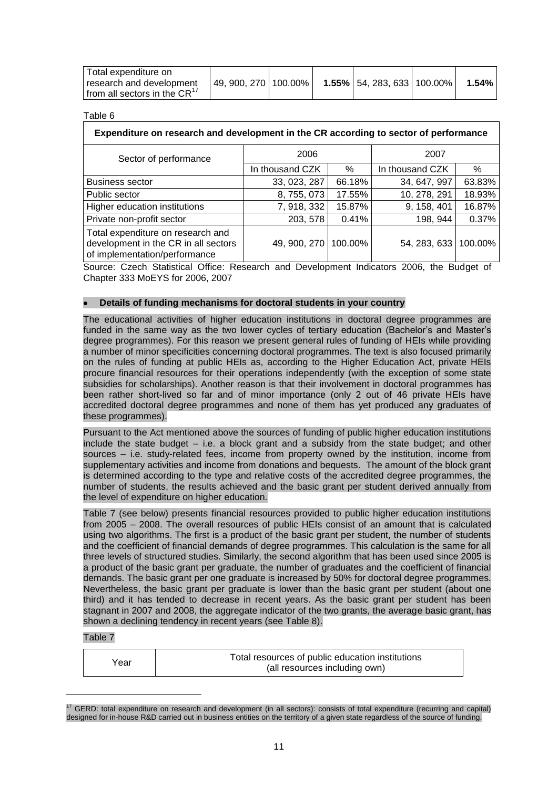| ' Total expenditure on<br>research and development<br>If from all sectors in the $CR^{17}$ | 49.900.270   100.00% |  | <b>1.55%</b>   54, 283, 633   100.00% | $1.54\%$ |
|--------------------------------------------------------------------------------------------|----------------------|--|---------------------------------------|----------|
|                                                                                            |                      |  |                                       |          |

Table 6

| Expenditure on research and development in the CR according to sector of performance |  |
|--------------------------------------------------------------------------------------|--|

| Sector of performance                                                                                      | 2006            |         | 2007            |         |  |
|------------------------------------------------------------------------------------------------------------|-----------------|---------|-----------------|---------|--|
|                                                                                                            | In thousand CZK | %       | In thousand CZK | %       |  |
| <b>Business sector</b>                                                                                     | 33, 023, 287    | 66.18%  | 34, 647, 997    | 63.83%  |  |
| Public sector                                                                                              | 8, 755, 073     | 17.55%  | 10, 278, 291    | 18.93%  |  |
| Higher education institutions                                                                              | 7, 918, 332     | 15.87%  | 9, 158, 401     | 16.87%  |  |
| Private non-profit sector                                                                                  | 203, 578        | 0.41%   | 198, 944        | 0.37%   |  |
| Total expenditure on research and<br>development in the CR in all sectors<br>of implementation/performance | 49, 900, 270    | 100.00% | 54, 283, 633    | 100.00% |  |

Source: Czech Statistical Office: Research and Development Indicators 2006, the Budget of Chapter 333 MoEYS for 2006, 2007

#### **Details of funding mechanisms for doctoral students in your country**

The educational activities of higher education institutions in doctoral degree programmes are funded in the same way as the two lower cycles of tertiary education (Bachelor's and Master's degree programmes). For this reason we present general rules of funding of HEIs while providing a number of minor specificities concerning doctoral programmes. The text is also focused primarily on the rules of funding at public HEIs as, according to the Higher Education Act, private HEIs procure financial resources for their operations independently (with the exception of some state subsidies for scholarships). Another reason is that their involvement in doctoral programmes has been rather short-lived so far and of minor importance (only 2 out of 46 private HEIs have accredited doctoral degree programmes and none of them has yet produced any graduates of these programmes).

Pursuant to the Act mentioned above the sources of funding of public higher education institutions include the state budget – i.e. a block grant and a subsidy from the state budget; and other sources – i.e. study-related fees, income from property owned by the institution, income from supplementary activities and income from donations and bequests. The amount of the block grant is determined according to the type and relative costs of the accredited degree programmes, the number of students, the results achieved and the basic grant per student derived annually from the level of expenditure on higher education.

Table 7 (see below) presents financial resources provided to public higher education institutions from 2005 – 2008. The overall resources of public HEIs consist of an amount that is calculated using two algorithms. The first is a product of the basic grant per student, the number of students and the coefficient of financial demands of degree programmes. This calculation is the same for all three levels of structured studies. Similarly, the second algorithm that has been used since 2005 is a product of the basic grant per graduate, the number of graduates and the coefficient of financial demands. The basic grant per one graduate is increased by 50% for doctoral degree programmes. Nevertheless, the basic grant per graduate is lower than the basic grant per student (about one third) and it has tended to decrease in recent years. As the basic grant per student has been stagnant in 2007 and 2008, the aggregate indicator of the two grants, the average basic grant, has shown a declining tendency in recent years (see Table 8).

#### Table 7

| Year | Total resources of public education institutions |
|------|--------------------------------------------------|
|      | (all resources including own)                    |

 $17$  GERD: total expenditure on research and development (in all sectors): consists of total expenditure (recurring and capital) designed for in-house R&D carried out in business entities on the territory of a given state regardless of the source of funding.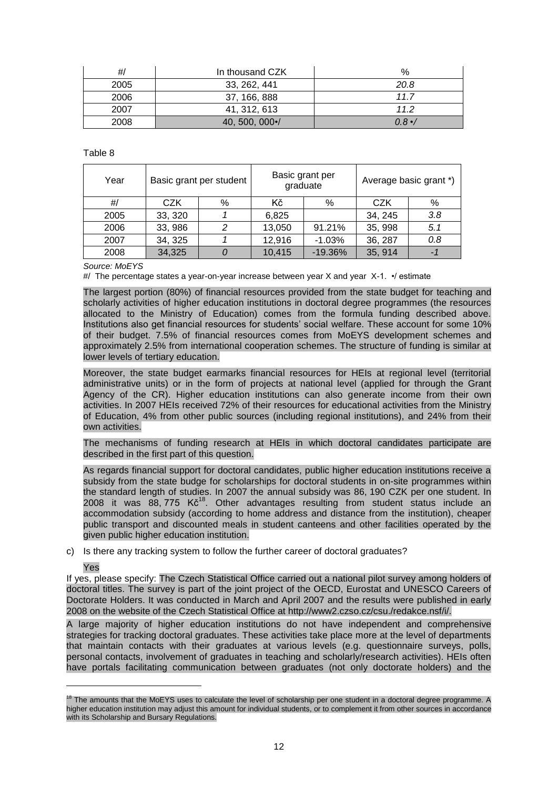| #/   | In thousand CZK        | $\%$        |
|------|------------------------|-------------|
| 2005 | 33, 262, 441           | 20.8        |
| 2006 | 37, 166, 888           | 117         |
| 2007 | 41, 312, 613           | 112         |
| 2008 | 40, 500, $000 \cdot l$ | $0.8 \cdot$ |

Table 8

| Year |         | Basic grant per student | Basic grant per<br>graduate |           | Average basic grant *) |     |
|------|---------|-------------------------|-----------------------------|-----------|------------------------|-----|
| #/   | CZK     | %                       | Κč                          | %         | CZK                    | %   |
| 2005 | 33, 320 |                         | 6,825                       |           | 34, 245                | 3.8 |
| 2006 | 33, 986 | 2                       | 13,050                      | 91.21%    | 35, 998                | 5.1 |
| 2007 | 34, 325 |                         | 12,916                      | $-1.03%$  | 36, 287                | 0.8 |
| 2008 | 34,325  |                         | 10,415                      | $-19.36%$ | 35, 914                | - 1 |

#### *Source: MoEYS*

#/ The percentage states a year-on-year increase between year X and year X-1. •/ estimate

The largest portion (80%) of financial resources provided from the state budget for teaching and scholarly activities of higher education institutions in doctoral degree programmes (the resources allocated to the Ministry of Education) comes from the formula funding described above. Institutions also get financial resources for students" social welfare. These account for some 10% of their budget. 7.5% of financial resources comes from MoEYS development schemes and approximately 2.5% from international cooperation schemes. The structure of funding is similar at lower levels of tertiary education.

Moreover, the state budget earmarks financial resources for HEIs at regional level (territorial administrative units) or in the form of projects at national level (applied for through the Grant Agency of the CR). Higher education institutions can also generate income from their own activities. In 2007 HEIs received 72% of their resources for educational activities from the Ministry of Education, 4% from other public sources (including regional institutions), and 24% from their own activities.

The mechanisms of funding research at HEIs in which doctoral candidates participate are described in the first part of this question.

As regards financial support for doctoral candidates, public higher education institutions receive a subsidy from the state budge for scholarships for doctoral students in on-site programmes within the standard length of studies. In 2007 the annual subsidy was 86, 190 CZK per one student. In 2008 it was  $88,775$  K $\check{\mathrm{c}}^{18}$ . Other advantages resulting from student status include an accommodation subsidy (according to home address and distance from the institution), cheaper public transport and discounted meals in student canteens and other facilities operated by the given public higher education institution.

c) Is there any tracking system to follow the further career of doctoral graduates?

Yes

l

If yes, please specify: The Czech Statistical Office carried out a national pilot survey among holders of doctoral titles. The survey is part of the joint project of the OECD, Eurostat and UNESCO Careers of Doctorate Holders. It was conducted in March and April 2007 and the results were published in early 2008 on the website of the Czech Statistical Office at http://www2.czso.cz/csu./redakce.nsf/i/.

A large majority of higher education institutions do not have independent and comprehensive strategies for tracking doctoral graduates. These activities take place more at the level of departments that maintain contacts with their graduates at various levels (e.g. questionnaire surveys, polls, personal contacts, involvement of graduates in teaching and scholarly/research activities). HEIs often have portals facilitating communication between graduates (not only doctorate holders) and the

The amounts that the MoEYS uses to calculate the level of scholarship per one student in a doctoral degree programme. A higher education institution may adjust this amount for individual students, or to complement it from other sources in accordance with its Scholarship and Bursary Regulations.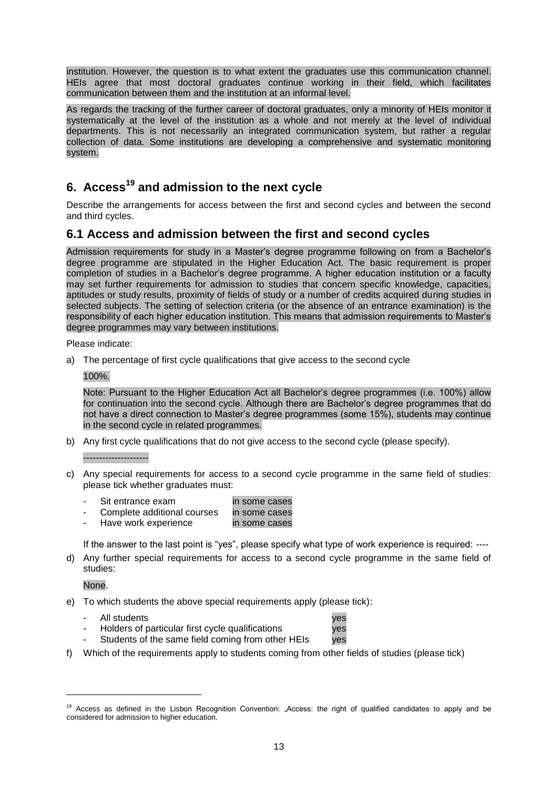institution. However, the question is to what extent the graduates use this communication channel. HEIs agree that most doctoral graduates continue working in their field, which facilitates communication between them and the institution at an informal level.

As regards the tracking of the further career of doctoral graduates, only a minority of HEIs monitor it systematically at the level of the institution as a whole and not merely at the level of individual departments. This is not necessarily an integrated communication system, but rather a regular collection of data. Some institutions are developing a comprehensive and systematic monitoring system.

# **6. Access<sup>19</sup> and admission to the next cycle**

Describe the arrangements for access between the first and second cycles and between the second and third cycles.

### **6.1 Access and admission between the first and second cycles**

Admission requirements for study in a Master"s degree programme following on from a Bachelor"s degree programme are stipulated in the Higher Education Act. The basic requirement is proper completion of studies in a Bachelor"s degree programme. A higher education institution or a faculty may set further requirements for admission to studies that concern specific knowledge, capacities, aptitudes or study results, proximity of fields of study or a number of credits acquired during studies in selected subjects. The setting of selection criteria (or the absence of an entrance examination) is the responsibility of each higher education institution. This means that admission requirements to Master"s degree programmes may vary between institutions.

Please indicate:

a) The percentage of first cycle qualifications that give access to the second cycle

100%.

Note: Pursuant to the Higher Education Act all Bachelor"s degree programmes (i.e. 100%) allow for continuation into the second cycle. Although there are Bachelor"s degree programmes that do not have a direct connection to Master's degree programmes (some 15%), students may continue in the second cycle in related programmes.

b) Any first cycle qualifications that do not give access to the second cycle (please specify).

---------------------

- c) Any special requirements for access to a second cycle programme in the same field of studies: please tick whether graduates must:
	- Sit entrance exam in some cases
	- Complete additional courses in some cases
	- Have work experience in some cases

If the answer to the last point is "yes", please specify what type of work experience is required: ----

d) Any further special requirements for access to a second cycle programme in the same field of studies:

None.

- e) To which students the above special requirements apply (please tick):
	- All students

|--|

- Holders of particular first cycle qualifications ves
- Students of the same field coming from other HEIs yes
- f) Which of the requirements apply to students coming from other fields of studies (please tick)

<sup>&</sup>lt;sup>19</sup> Access as defined in the Lisbon Recognition Convention: "Access: the right of qualified candidates to apply and be considered for admission to higher education.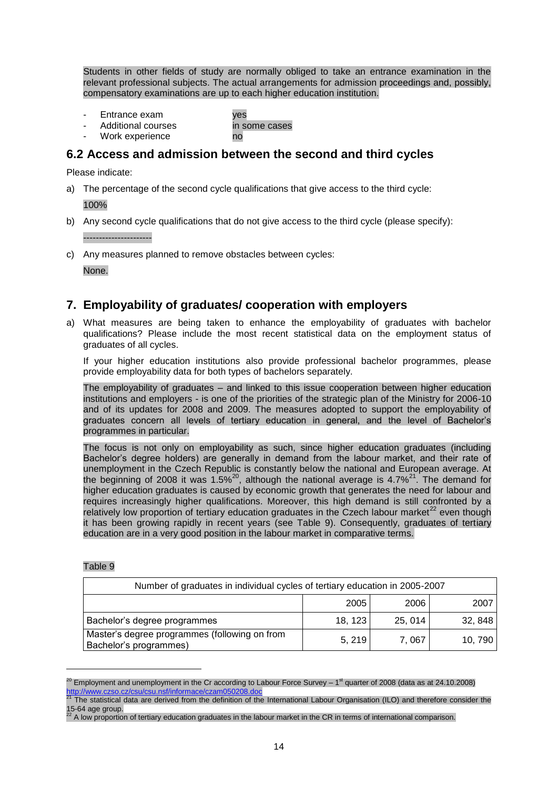Students in other fields of study are normally obliged to take an entrance examination in the relevant professional subjects. The actual arrangements for admission proceedings and, possibly, compensatory examinations are up to each higher education institution.

- Entrance exam ves
- Additional courses in some cases
- Work experience no

### **6.2 Access and admission between the second and third cycles**

Please indicate:

a) The percentage of the second cycle qualifications that give access to the third cycle:

100%

b) Any second cycle qualifications that do not give access to the third cycle (please specify):

----------------------

c) Any measures planned to remove obstacles between cycles:

None.

## **7. Employability of graduates/ cooperation with employers**

a) What measures are being taken to enhance the employability of graduates with bachelor qualifications? Please include the most recent statistical data on the employment status of graduates of all cycles.

If your higher education institutions also provide professional bachelor programmes, please provide employability data for both types of bachelors separately.

The employability of graduates – and linked to this issue cooperation between higher education institutions and employers - is one of the priorities of the strategic plan of the Ministry for 2006-10 and of its updates for 2008 and 2009. The measures adopted to support the employability of graduates concern all levels of tertiary education in general, and the level of Bachelor"s programmes in particular.

The focus is not only on employability as such, since higher education graduates (including Bachelor"s degree holders) are generally in demand from the labour market, and their rate of unemployment in the Czech Republic is constantly below the national and European average. At the beginning of 2008 it was 1.5%<sup>20</sup>, although the national average is 4.7%<sup>21</sup>. The demand for higher education graduates is caused by economic growth that generates the need for labour and requires increasingly higher qualifications. Moreover, this high demand is still confronted by a relatively low proportion of tertiary education graduates in the Czech labour market<sup>22</sup> even though it has been growing rapidly in recent years (see Table 9). Consequently, graduates of tertiary education are in a very good position in the labour market in comparative terms.

#### Table 9

| Number of graduates in individual cycles of tertiary education in 2005-2007                         |  |  |  |  |  |  |  |
|-----------------------------------------------------------------------------------------------------|--|--|--|--|--|--|--|
| 2006<br>2005<br>2007                                                                                |  |  |  |  |  |  |  |
| Bachelor's degree programmes<br>18.123<br>32, 848<br>25, 014                                        |  |  |  |  |  |  |  |
| Master's degree programmes (following on from<br>5.219<br>10.790<br>7.067<br>Bachelor's programmes) |  |  |  |  |  |  |  |

 $^{20}$  Employment and unemployment in the Cr according to Labour Force Survey – 1<sup>st</sup> quarter of 2008 (data as at 24.10.2008) <http://www.czso.cz/csu/csu.nsf/informace/czam050208.doc>

<sup>21</sup> The statistical data are derived from the definition of the International Labour Organisation (ILO) and therefore consider the

<sup>15-64</sup> age group.<br><sup>22</sup> A low proportion of tertiary education graduates in the labour market in the CR in terms of international comparison.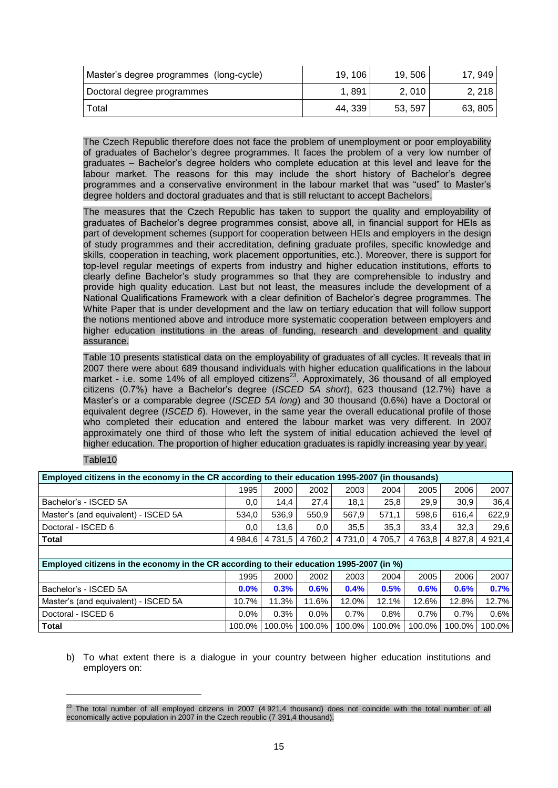| Master's degree programmes (long-cycle) | 19.106 | 19.506 | 17. 949 l |
|-----------------------------------------|--------|--------|-----------|
| Doctoral degree programmes              | 1.891  | 2.010  | 2, 218    |
| Total                                   | 44.339 | 53.597 | 63, 805   |

The Czech Republic therefore does not face the problem of unemployment or poor employability of graduates of Bachelor"s degree programmes. It faces the problem of a very low number of graduates – Bachelor"s degree holders who complete education at this level and leave for the labour market. The reasons for this may include the short history of Bachelor's degree programmes and a conservative environment in the labour market that was "used" to Master"s degree holders and doctoral graduates and that is still reluctant to accept Bachelors.

The measures that the Czech Republic has taken to support the quality and employability of graduates of Bachelor"s degree programmes consist, above all, in financial support for HEIs as part of development schemes (support for cooperation between HEIs and employers in the design of study programmes and their accreditation, defining graduate profiles, specific knowledge and skills, cooperation in teaching, work placement opportunities, etc.). Moreover, there is support for top-level regular meetings of experts from industry and higher education institutions, efforts to clearly define Bachelor"s study programmes so that they are comprehensible to industry and provide high quality education. Last but not least, the measures include the development of a National Qualifications Framework with a clear definition of Bachelor"s degree programmes. The White Paper that is under development and the law on tertiary education that will follow support the notions mentioned above and introduce more systematic cooperation between employers and higher education institutions in the areas of funding, research and development and quality assurance.

Table 10 presents statistical data on the employability of graduates of all cycles. It reveals that in 2007 there were about 689 thousand individuals with higher education qualifications in the labour market - i.e. some 14% of all employed citizens<sup>23</sup>. Approximately, 36 thousand of all employed citizens (0.7%) have a Bachelor"s degree (*ISCED 5A short*), 623 thousand (12.7%) have a Master"s or a comparable degree (*ISCED 5A long*) and 30 thousand (0.6%) have a Doctoral or equivalent degree (*ISCED 6*). However, in the same year the overall educational profile of those who completed their education and entered the labour market was very different. In 2007 approximately one third of those who left the system of initial education achieved the level of higher education. The proportion of higher education graduates is rapidly increasing year by year.

#### Table10

l

| Employed citizens in the economy in the CR according to their education 1995-2007 (in thousands) |                 |                 |         |         |         |             |                  |             |
|--------------------------------------------------------------------------------------------------|-----------------|-----------------|---------|---------|---------|-------------|------------------|-------------|
|                                                                                                  | 1995            | 2000            | 2002    | 2003    | 2004    | 2005        | 2006             | 2007        |
| Bachelor's - ISCED 5A                                                                            | $0.0\,$         | 14.4            | 27.4    | 18.1    | 25,8    | 29.9        | 30.9             | 36,4        |
| Master's (and equivalent) - ISCED 5A                                                             | 534.0           | 536.9           | 550.9   | 567.9   | 571,1   | 598,6       | 616.4            | 622,9       |
| Doctoral - ISCED 6                                                                               | $0.0\,$         | 13.6            | 0.0     | 35.5    | 35.3    | 33.4        | 32.3             | 29,6        |
| <b>Total</b>                                                                                     |                 | 4 984,6 4 731,5 | 4 760.2 | 4 731.0 | 4 705.7 | 4 7 6 3 . 8 | 4 827.8          | 4 9 2 1 . 4 |
|                                                                                                  |                 |                 |         |         |         |             |                  |             |
| Employed citizens in the economy in the CR according to their education 1995-2007 (in %)         |                 |                 |         |         |         |             |                  |             |
|                                                                                                  | $A \cap \cap F$ | nnnn I          | 0000    | 0000    | 0.001   | 000F        | 000 <sup>0</sup> | 00071       |

| EMPLOYED DREDING IN THE COUNTRY IN THE UNIVERSITY TO THE CHOICE OF LOVE EVER THE 70 |           |          |                    |          |          |        |          |          |
|-------------------------------------------------------------------------------------|-----------|----------|--------------------|----------|----------|--------|----------|----------|
|                                                                                     | 1995      | 2000     | 2002               | 2003     | 2004     | 2005   | 2006     | 2007     |
| Bachelor's - ISCED 5A                                                               | $0.0\%$   | 0.3%     | 0.6%               | $0.4\%$  | 0.5%     | 0.6%   | 0.6%     | 0.7%     |
| Master's (and equivalent) - ISCED 5A                                                | $10.7\%$  | $11.3\%$ | $11.6\%$           | $12.0\%$ | $12.1\%$ | 12.6%  | 12.8%    | $12.7\%$ |
| Doctoral - ISCED 6                                                                  | $0.0\%$   | 0.3%     | $0.0\%$            | $0.7\%$  | 0.8%     | 0.7%   | $0.7\%$  | $0.6\%$  |
| Total                                                                               | $100.0\%$ |          | $100.0\%$   100.0% | 100.0%   | 100.0% L | 100.0% | 100.0% L | 100.0% l |

b) To what extent there is a dialogue in your country between higher education institutions and employers on:

 $^{23}$  The total number of all employed citizens in 2007 (4 921,4 thousand) does not coincide with the total number of all economically active population in 2007 in the Czech republic (7 391,4 thousand).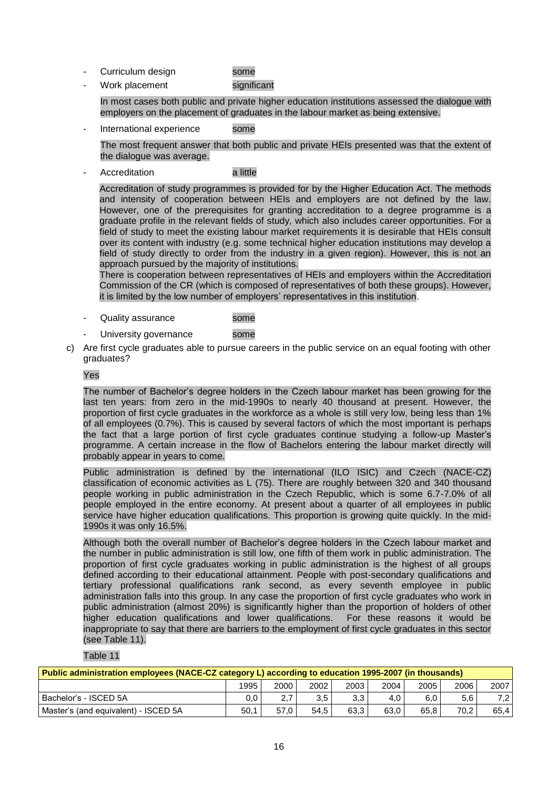- Curriculum design some
- Work placement significant

In most cases both public and private higher education institutions assessed the dialogue with employers on the placement of graduates in the labour market as being extensive.

International experience some

The most frequent answer that both public and private HEIs presented was that the extent of the dialogue was average.

#### Accreditation a little

Accreditation of study programmes is provided for by the Higher Education Act. The methods and intensity of cooperation between HEIs and employers are not defined by the law. However, one of the prerequisites for granting accreditation to a degree programme is a graduate profile in the relevant fields of study, which also includes career opportunities. For a field of study to meet the existing labour market requirements it is desirable that HEIs consult over its content with industry (e.g. some technical higher education institutions may develop a field of study directly to order from the industry in a given region). However, this is not an approach pursued by the majority of institutions.

There is cooperation between representatives of HEIs and employers within the Accreditation Commission of the CR (which is composed of representatives of both these groups). However, it is limited by the low number of employers" representatives in this institution.

- Quality assurance some
- University governance some
- c) Are first cycle graduates able to pursue careers in the public service on an equal footing with other graduates?

#### Yes

The number of Bachelor"s degree holders in the Czech labour market has been growing for the last ten years: from zero in the mid-1990s to nearly 40 thousand at present. However, the proportion of first cycle graduates in the workforce as a whole is still very low, being less than 1% of all employees (0.7%). This is caused by several factors of which the most important is perhaps the fact that a large portion of first cycle graduates continue studying a follow-up Master"s programme. A certain increase in the flow of Bachelors entering the labour market directly will probably appear in years to come.

Public administration is defined by the international (ILO ISIC) and Czech (NACE-CZ) classification of economic activities as L (75). There are roughly between 320 and 340 thousand people working in public administration in the Czech Republic, which is some 6.7-7.0% of all people employed in the entire economy. At present about a quarter of all employees in public service have higher education qualifications. This proportion is growing quite quickly. In the mid-1990s it was only 16.5%.

Although both the overall number of Bachelor"s degree holders in the Czech labour market and the number in public administration is still low, one fifth of them work in public administration. The proportion of first cycle graduates working in public administration is the highest of all groups defined according to their educational attainment. People with post-secondary qualifications and tertiary professional qualifications rank second, as every seventh employee in public administration falls into this group. In any case the proportion of first cycle graduates who work in public administration (almost 20%) is significantly higher than the proportion of holders of other higher education qualifications and lower qualifications. For these reasons it would be inappropriate to say that there are barriers to the employment of first cycle graduates in this sector (see Table 11).

#### Table 11

| Public administration employees (NACE-CZ category L) according to education 1995-2007 (in thousands) |      |      |      |      |      |      |      |            |
|------------------------------------------------------------------------------------------------------|------|------|------|------|------|------|------|------------|
|                                                                                                      | 1995 | 2000 | 2002 | 2003 | 2004 | 2005 | 2006 | 2007       |
| 3.3<br>6.0<br>Bachelor's - ISCED 5A<br>3.5<br>4.0 <sup>1</sup><br>27<br>0.O l<br>5.6<br>$\mathbf{z}$ |      |      |      |      |      |      |      | $7.2 \mid$ |
| Master's (and equivalent) - ISCED 5A<br>70.2<br>63.0<br>63.3<br>65.8<br>50.1<br>54.5<br>57.0<br>65,4 |      |      |      |      |      |      |      |            |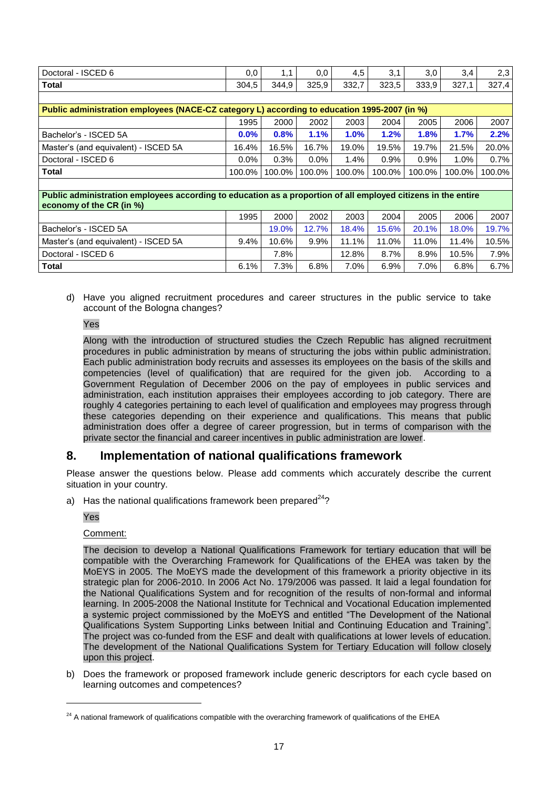| Doctoral - ISCED 6 | 0, 0  |       | $\sim$ $\sim$<br>v.v | $\overline{a}$<br>4,5  | $^{\circ}$ 1<br>ບ. | 3.0   | 3,4 | $\sim$<br>ں,ے |
|--------------------|-------|-------|----------------------|------------------------|--------------------|-------|-----|---------------|
| <b>Total</b>       | 304,5 | 344.9 | 325,9                | 332.7<br>$\rightarrow$ | 323,5              | 333,9 | 327 | 327,4         |
|                    |       |       |                      |                        |                    |       |     |               |

| Public administration employees (NACE-CZ category L) according to education 1995-2007 (in %) |           |          |          |          |          |          |         |                                                              |
|----------------------------------------------------------------------------------------------|-----------|----------|----------|----------|----------|----------|---------|--------------------------------------------------------------|
|                                                                                              | 1995      | 2000     | 2002     | 2003     | 2004     | 2005     | 2006    | 2007                                                         |
| l Bachelor's - ISCED 5A                                                                      | $0.0\%$   | 0.8%     | $1.1\%$  | $1.0\%$  | 1.2%     | 1.8%     | 1.7%    | 2.2%                                                         |
| Master's (and equivalent) - ISCED 5A                                                         | 16.4%     | $16.5\%$ | $16.7\%$ | $19.0\%$ | $19.5\%$ | $19.7\%$ | 21.5%   | $20.0\%$                                                     |
| Doctoral - ISCED 6                                                                           | $0.0\%$   | 0.3%     | $0.0\%$  | 1.4%     | $0.9\%$  | 0.9%     | $1.0\%$ | $0.7\%$                                                      |
| <b>Total</b>                                                                                 | $100.0\%$ |          |          |          |          |          |         | 100.0%   100.0%   100.0%   100.0%   100.0%   100.0%   100.0% |

**Public administration employees according to education as a proportion of all employed citizens in the entire economy of the CR (in %)**

|                                      | 1995 | 2000     | 2002  | 2003  | 2004  | 2005  | 2006  | 2007  |
|--------------------------------------|------|----------|-------|-------|-------|-------|-------|-------|
| l Bachelor's - ISCED 5A              |      | $19.0\%$ | 12.7% | 18.4% | 15.6% | 20.1% | 18.0% | 19.7% |
| Master's (and equivalent) - ISCED 5A | 9.4% | 10.6%    | 9.9%  | 11.1% | 11.0% | 11.0% | 11.4% | 10.5% |
| l Doctoral - ISCED 6                 |      | 7.8%     |       | 12.8% | 8.7%  | 8.9%  | 10.5% | 7.9%  |
| l Total                              | 6.1% | 7.3%     | 6.8%  | 7.0%  | 6.9%  | 7.0%  | 6.8%  | 6.7%  |

d) Have you aligned recruitment procedures and career structures in the public service to take account of the Bologna changes?

Yes

Along with the introduction of structured studies the Czech Republic has aligned recruitment procedures in public administration by means of structuring the jobs within public administration. Each public administration body recruits and assesses its employees on the basis of the skills and competencies (level of qualification) that are required for the given job. According to a Government Regulation of December 2006 on the pay of employees in public services and administration, each institution appraises their employees according to job category. There are roughly 4 categories pertaining to each level of qualification and employees may progress through these categories depending on their experience and qualifications. This means that public administration does offer a degree of career progression, but in terms of comparison with the private sector the financial and career incentives in public administration are lower.

### **8. Implementation of national qualifications framework**

Please answer the questions below. Please add comments which accurately describe the current situation in your country.

a) Has the national qualifications framework been prepared  $24$ ?

Yes

l

#### Comment:

The decision to develop a National Qualifications Framework for tertiary education that will be compatible with the Overarching Framework for Qualifications of the EHEA was taken by the MoEYS in 2005. The MoEYS made the development of this framework a priority objective in its strategic plan for 2006-2010. In 2006 Act No. 179/2006 was passed. It laid a legal foundation for the National Qualifications System and for recognition of the results of non-formal and informal learning. In 2005-2008 the National Institute for Technical and Vocational Education implemented a systemic project commissioned by the MoEYS and entitled "The Development of the National Qualifications System Supporting Links between Initial and Continuing Education and Training". The project was co-funded from the ESF and dealt with qualifications at lower levels of education. The development of the National Qualifications System for Tertiary Education will follow closely upon this project.

b) Does the framework or proposed framework include generic descriptors for each cycle based on learning outcomes and competences?

<sup>&</sup>lt;sup>24</sup> A national framework of qualifications compatible with the overarching framework of qualifications of the EHEA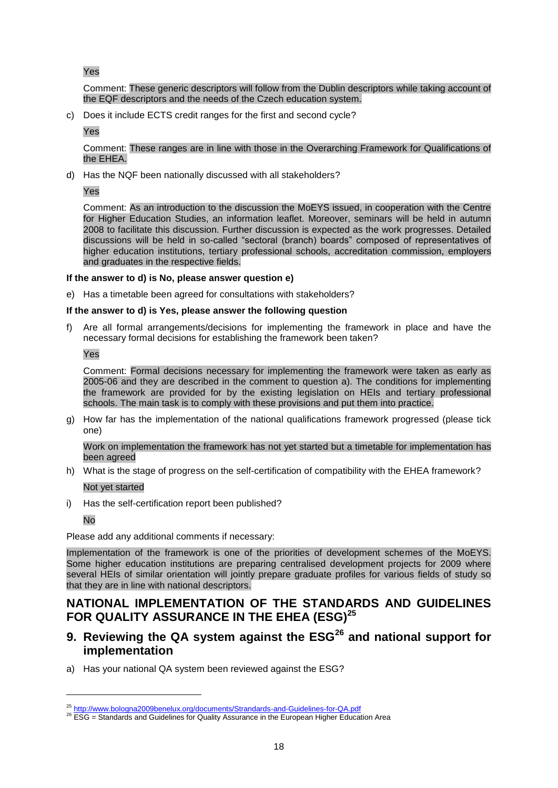Yes

Comment: These generic descriptors will follow from the Dublin descriptors while taking account of the EQF descriptors and the needs of the Czech education system.

c) Does it include ECTS credit ranges for the first and second cycle?

Yes

Comment: These ranges are in line with those in the Overarching Framework for Qualifications of the EHEA.

d) Has the NQF been nationally discussed with all stakeholders?

Yes

Comment: As an introduction to the discussion the MoEYS issued, in cooperation with the Centre for Higher Education Studies, an information leaflet. Moreover, seminars will be held in autumn 2008 to facilitate this discussion. Further discussion is expected as the work progresses. Detailed discussions will be held in so-called "sectoral (branch) boards" composed of representatives of higher education institutions, tertiary professional schools, accreditation commission, employers and graduates in the respective fields.

#### **If the answer to d) is No, please answer question e)**

e) Has a timetable been agreed for consultations with stakeholders?

#### **If the answer to d) is Yes, please answer the following question**

f) Are all formal arrangements/decisions for implementing the framework in place and have the necessary formal decisions for establishing the framework been taken?

Yes

Comment: Formal decisions necessary for implementing the framework were taken as early as 2005-06 and they are described in the comment to question a). The conditions for implementing the framework are provided for by the existing legislation on HEIs and tertiary professional schools. The main task is to comply with these provisions and put them into practice.

g) How far has the implementation of the national qualifications framework progressed (please tick one)

Work on implementation the framework has not yet started but a timetable for implementation has been agreed

h) What is the stage of progress on the self-certification of compatibility with the EHEA framework?

#### Not yet started

i) Has the self-certification report been published?

No

l

Please add any additional comments if necessary:

Implementation of the framework is one of the priorities of development schemes of the MoEYS. Some higher education institutions are preparing centralised development projects for 2009 where several HEIs of similar orientation will jointly prepare graduate profiles for various fields of study so that they are in line with national descriptors.

## **NATIONAL IMPLEMENTATION OF THE STANDARDS AND GUIDELINES FOR QUALITY ASSURANCE IN THE EHEA (ESG) 25**

## **9. Reviewing the QA system against the ESG<sup>26</sup> and national support for implementation**

a) Has your national QA system been reviewed against the ESG?

<sup>&</sup>lt;sup>25</sup> http://www.bologna2009benelux.org/documents/Strandards-and-Guidelines-for-QA.pdf

<sup>&</sup>lt;sup>26</sup> ESG = Standards and Guidelines for Quality Assurance in the European Higher Education Area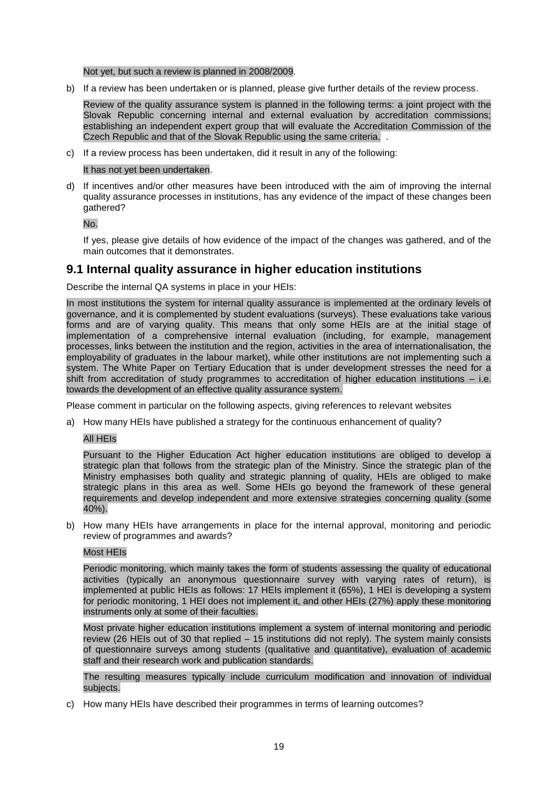Not yet, but such a review is planned in 2008/2009.

b) If a review has been undertaken or is planned, please give further details of the review process.

Review of the quality assurance system is planned in the following terms: a joint project with the Slovak Republic concerning internal and external evaluation by accreditation commissions; establishing an independent expert group that will evaluate the Accreditation Commission of the Czech Republic and that of the Slovak Republic using the same criteria. .

c) If a review process has been undertaken, did it result in any of the following:

It has not yet been undertaken.

d) If incentives and/or other measures have been introduced with the aim of improving the internal quality assurance processes in institutions, has any evidence of the impact of these changes been gathered?

No.

If yes, please give details of how evidence of the impact of the changes was gathered, and of the main outcomes that it demonstrates.

### **9.1 Internal quality assurance in higher education institutions**

Describe the internal QA systems in place in your HEIs:

In most institutions the system for internal quality assurance is implemented at the ordinary levels of governance, and it is complemented by student evaluations (surveys). These evaluations take various forms and are of varying quality. This means that only some HEIs are at the initial stage of implementation of a comprehensive internal evaluation (including, for example, management processes, links between the institution and the region, activities in the area of internationalisation, the employability of graduates in the labour market), while other institutions are not implementing such a system. The White Paper on Tertiary Education that is under development stresses the need for a shift from accreditation of study programmes to accreditation of higher education institutions – i.e. towards the development of an effective quality assurance system.

Please comment in particular on the following aspects, giving references to relevant websites

a) How many HEIs have published a strategy for the continuous enhancement of quality?

#### All HEIs

Pursuant to the Higher Education Act higher education institutions are obliged to develop a strategic plan that follows from the strategic plan of the Ministry. Since the strategic plan of the Ministry emphasises both quality and strategic planning of quality, HEIs are obliged to make strategic plans in this area as well. Some HEIs go beyond the framework of these general requirements and develop independent and more extensive strategies concerning quality (some 40%).

b) How many HEIs have arrangements in place for the internal approval, monitoring and periodic review of programmes and awards?

#### Most HEIs

Periodic monitoring, which mainly takes the form of students assessing the quality of educational activities (typically an anonymous questionnaire survey with varying rates of return), is implemented at public HEIs as follows: 17 HEIs implement it (65%), 1 HEI is developing a system for periodic monitoring, 1 HEI does not implement it, and other HEIs (27%) apply these monitoring instruments only at some of their faculties.

Most private higher education institutions implement a system of internal monitoring and periodic review (26 HEIs out of 30 that replied – 15 institutions did not reply). The system mainly consists of questionnaire surveys among students (qualitative and quantitative), evaluation of academic staff and their research work and publication standards.

The resulting measures typically include curriculum modification and innovation of individual subjects.

c) How many HEIs have described their programmes in terms of learning outcomes?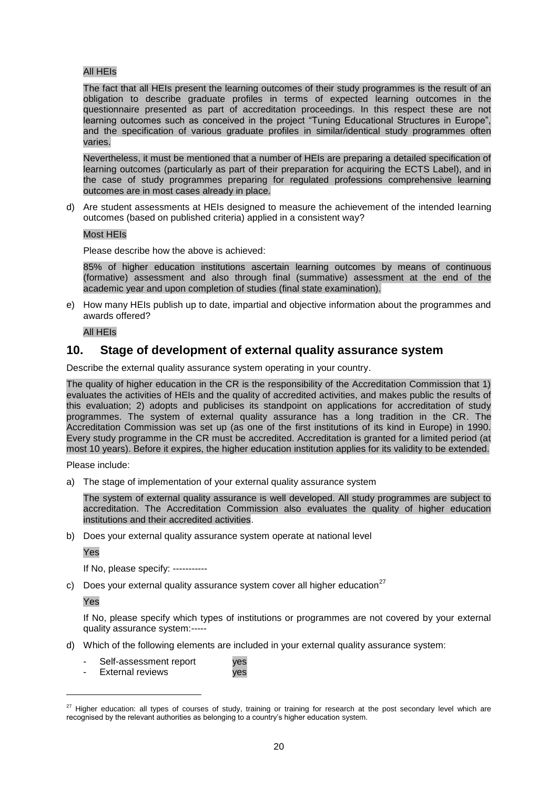#### All HEIs

The fact that all HEIs present the learning outcomes of their study programmes is the result of an obligation to describe graduate profiles in terms of expected learning outcomes in the questionnaire presented as part of accreditation proceedings. In this respect these are not learning outcomes such as conceived in the project "Tuning Educational Structures in Europe", and the specification of various graduate profiles in similar/identical study programmes often varies.

Nevertheless, it must be mentioned that a number of HEIs are preparing a detailed specification of learning outcomes (particularly as part of their preparation for acquiring the ECTS Label), and in the case of study programmes preparing for regulated professions comprehensive learning outcomes are in most cases already in place.

d) Are student assessments at HEIs designed to measure the achievement of the intended learning outcomes (based on published criteria) applied in a consistent way?

#### Most HEIs

Please describe how the above is achieved:

85% of higher education institutions ascertain learning outcomes by means of continuous (formative) assessment and also through final (summative) assessment at the end of the academic year and upon completion of studies (final state examination).

e) How many HEIs publish up to date, impartial and objective information about the programmes and awards offered?

All HEIs

### **10. Stage of development of external quality assurance system**

Describe the external quality assurance system operating in your country.

The quality of higher education in the CR is the responsibility of the Accreditation Commission that 1) evaluates the activities of HEIs and the quality of accredited activities, and makes public the results of this evaluation; 2) adopts and publicises its standpoint on applications for accreditation of study programmes. The system of external quality assurance has a long tradition in the CR. The Accreditation Commission was set up (as one of the first institutions of its kind in Europe) in 1990. Every study programme in the CR must be accredited. Accreditation is granted for a limited period (at most 10 years). Before it expires, the higher education institution applies for its validity to be extended.

Please include:

a) The stage of implementation of your external quality assurance system

The system of external quality assurance is well developed. All study programmes are subject to accreditation. The Accreditation Commission also evaluates the quality of higher education institutions and their accredited activities.

b) Does your external quality assurance system operate at national level

Yes

If No, please specify: -----------

c) Does your external quality assurance system cover all higher education<sup>27</sup>

Yes

l

If No, please specify which types of institutions or programmes are not covered by your external quality assurance system:-----

- d) Which of the following elements are included in your external quality assurance system:
	- Self-assessment report ves
	- External reviews **yes**

<sup>&</sup>lt;sup>27</sup> Higher education: all types of courses of study, training or training for research at the post secondary level which are recognised by the relevant authorities as belonging to a country"s higher education system.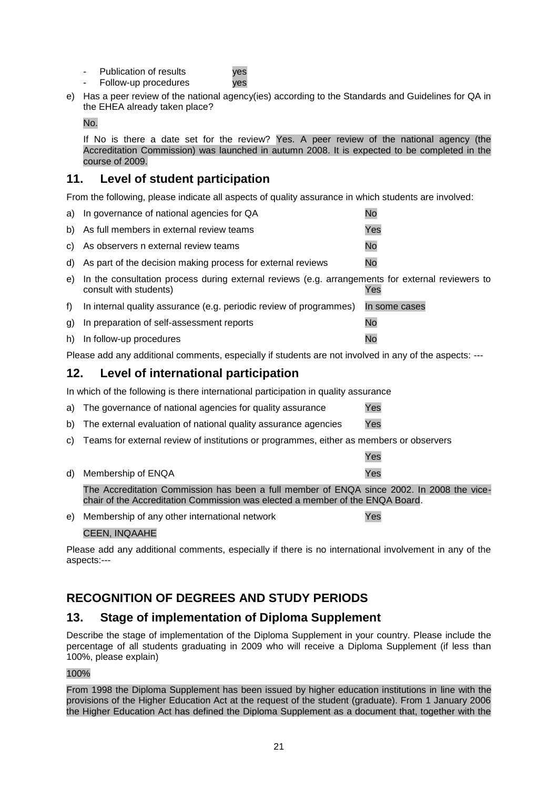- Publication of results ves
	-
- Follow-up procedures ves
- e) Has a peer review of the national agency(ies) according to the Standards and Guidelines for QA in the EHEA already taken place?

No.

If No is there a date set for the review? Yes. A peer review of the national agency (the Accreditation Commission) was launched in autumn 2008. It is expected to be completed in the course of 2009.

## **11. Level of student participation**

From the following, please indicate all aspects of quality assurance in which students are involved:

- a) In governance of national agencies for QA No b) As full members in external review teams
- c) As observers n external review teams No
- d) As part of the decision making process for external reviews No
- e) In the consultation process during external reviews (e.g. arrangements for external reviewers to consult with students) Yes
- f) In internal quality assurance (e.g. periodic review of programmes) In some cases
- g) In preparation of self-assessment reports No
- h) In follow-up procedures No

Please add any additional comments, especially if students are not involved in any of the aspects: ---

## **12. Level of international participation**

In which of the following is there international participation in quality assurance

- a) The governance of national agencies for quality assurance Yes
- b) The external evaluation of national quality assurance agencies Yes
- c) Teams for external review of institutions or programmes, either as members or observers
- Yes d) Membership of ENQA Yes The Accreditation Commission has been a full member of ENQA since 2002. In 2008 the vicechair of the Accreditation Commission was elected a member of the ENQA Board.
- e) Membership of any other international network Yes

#### CEEN, INQAAHE

Please add any additional comments, especially if there is no international involvement in any of the aspects:---

## **RECOGNITION OF DEGREES AND STUDY PERIODS**

## **13. Stage of implementation of Diploma Supplement**

Describe the stage of implementation of the Diploma Supplement in your country. Please include the percentage of all students graduating in 2009 who will receive a Diploma Supplement (if less than 100%, please explain)

#### 100%

From 1998 the Diploma Supplement has been issued by higher education institutions in line with the provisions of the Higher Education Act at the request of the student (graduate). From 1 January 2006 the Higher Education Act has defined the Diploma Supplement as a document that, together with the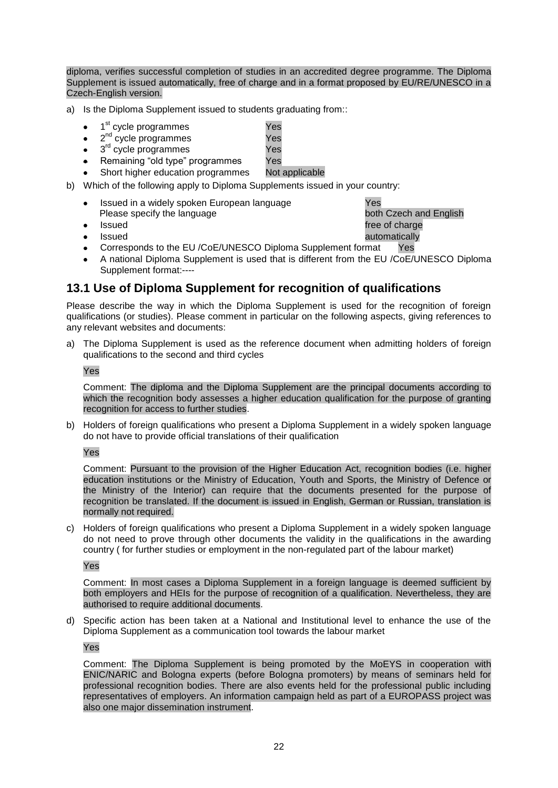diploma, verifies successful completion of studies in an accredited degree programme. The Diploma Supplement is issued automatically, free of charge and in a format proposed by EU/RE/UNESCO in a Czech-English version.

- a) Is the Diploma Supplement issued to students graduating from::
	- 1<sup>st</sup> cycle programmes Yes
	- 2<sup>nd</sup> cycle programmes **The State State**
	- 3<sup>rd</sup> cycle programmes **Yes**
	- Remaining "old type" programmes Yes
	- Short higher education programmes Not applicable
- b) Which of the following apply to Diploma Supplements issued in your country:
	- Issued in a widely spoken European language The Mark Character Yes<br>
	Please specify the language The angle and English Please specify the language
	- $\bullet$
	-
	- Corresponds to the EU /CoE/UNESCO Diploma Supplement format Yes
	- A national Diploma Supplement is used that is different from the EU /CoE/UNESCO Diploma Supplement format:----

## **13.1 Use of Diploma Supplement for recognition of qualifications**

Please describe the way in which the Diploma Supplement is used for the recognition of foreign qualifications (or studies). Please comment in particular on the following aspects, giving references to any relevant websites and documents:

a) The Diploma Supplement is used as the reference document when admitting holders of foreign qualifications to the second and third cycles

#### Yes

Comment: The diploma and the Diploma Supplement are the principal documents according to which the recognition body assesses a higher education qualification for the purpose of granting recognition for access to further studies.

b) Holders of foreign qualifications who present a Diploma Supplement in a widely spoken language do not have to provide official translations of their qualification

#### Yes

Comment: Pursuant to the provision of the Higher Education Act, recognition bodies (i.e. higher education institutions or the Ministry of Education, Youth and Sports, the Ministry of Defence or the Ministry of the Interior) can require that the documents presented for the purpose of recognition be translated. If the document is issued in English, German or Russian, translation is normally not required.

c) Holders of foreign qualifications who present a Diploma Supplement in a widely spoken language do not need to prove through other documents the validity in the qualifications in the awarding country ( for further studies or employment in the non-regulated part of the labour market)

#### Yes

Comment: In most cases a Diploma Supplement in a foreign language is deemed sufficient by both employers and HEIs for the purpose of recognition of a qualification. Nevertheless, they are authorised to require additional documents.

d) Specific action has been taken at a National and Institutional level to enhance the use of the Diploma Supplement as a communication tool towards the labour market

Yes

Comment: The Diploma Supplement is being promoted by the MoEYS in cooperation with ENIC/NARIC and Bologna experts (before Bologna promoters) by means of seminars held for professional recognition bodies. There are also events held for the professional public including representatives of employers. An information campaign held as part of a EUROPASS project was also one major dissemination instrument.

**Issued issued issued issued issued issued issued issued Issued automatically**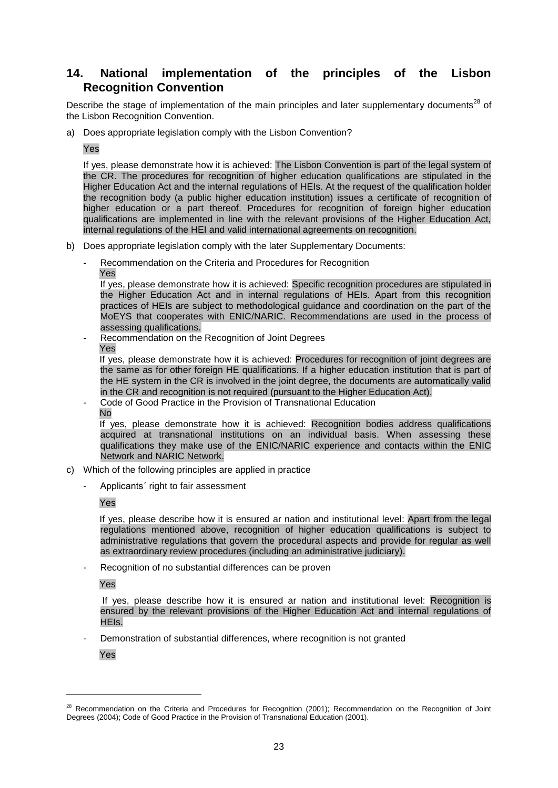### **14. National implementation of the principles of the Lisbon Recognition Convention**

Describe the stage of implementation of the main principles and later supplementary documents<sup>28</sup> of the Lisbon Recognition Convention.

a) Does appropriate legislation comply with the Lisbon Convention?

Yes

If yes, please demonstrate how it is achieved: The Lisbon Convention is part of the legal system of the CR. The procedures for recognition of higher education qualifications are stipulated in the Higher Education Act and the internal regulations of HEIs. At the request of the qualification holder the recognition body (a public higher education institution) issues a certificate of recognition of higher education or a part thereof. Procedures for recognition of foreign higher education qualifications are implemented in line with the relevant provisions of the Higher Education Act, internal regulations of the HEI and valid international agreements on recognition.

- b) Does appropriate legislation comply with the later Supplementary Documents:
	- Recommendation on the Criteria and Procedures for Recognition
		- Yes

If yes, please demonstrate how it is achieved: Specific recognition procedures are stipulated in the Higher Education Act and in internal regulations of HEIs. Apart from this recognition practices of HEIs are subject to methodological guidance and coordination on the part of the MoEYS that cooperates with ENIC/NARIC. Recommendations are used in the process of assessing qualifications.

- Recommendation on the Recognition of Joint Degrees Yes

If yes, please demonstrate how it is achieved: Procedures for recognition of joint degrees are the same as for other foreign HE qualifications. If a higher education institution that is part of the HE system in the CR is involved in the joint degree, the documents are automatically valid in the CR and recognition is not required (pursuant to the Higher Education Act).

- Code of Good Practice in the Provision of Transnational Education
	- No

If yes, please demonstrate how it is achieved: Recognition bodies address qualifications acquired at transnational institutions on an individual basis. When assessing these qualifications they make use of the ENIC/NARIC experience and contacts within the ENIC Network and NARIC Network.

- c) Which of the following principles are applied in practice
	- Applicants' right to fair assessment

Yes

If yes, please describe how it is ensured ar nation and institutional level: Apart from the legal regulations mentioned above, recognition of higher education qualifications is subject to administrative regulations that govern the procedural aspects and provide for regular as well as extraordinary review procedures (including an administrative judiciary).

Recognition of no substantial differences can be proven

Yes

If yes, please describe how it is ensured ar nation and institutional level: Recognition is ensured by the relevant provisions of the Higher Education Act and internal regulations of HEIs.

Demonstration of substantial differences, where recognition is not granted

Yes

<sup>&</sup>lt;sup>28</sup> Recommendation on the Criteria and Procedures for Recognition (2001); Recommendation on the Recognition of Joint Degrees (2004); Code of Good Practice in the Provision of Transnational Education (2001).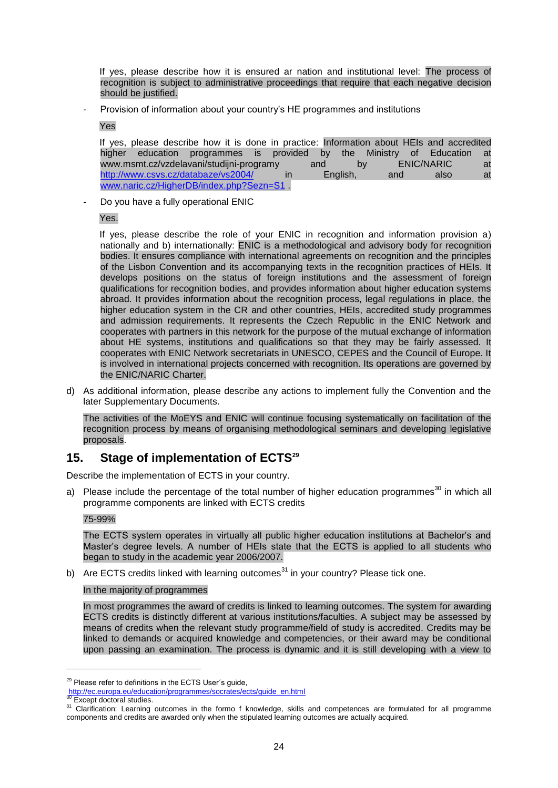If yes, please describe how it is ensured ar nation and institutional level: The process of recognition is subject to administrative proceedings that require that each negative decision should be justified.

Provision of information about your country's HE programmes and institutions

Yes

If yes, please describe how it is done in practice: Information about HEIs and accredited higher education programmes is provided by the Ministry of Education at www.msmt.cz/vzdelavani/studijni-programy and by ENIC/NARIC at <http://www.csvs.cz/databaze/vs2004/> in English, and also at [www.naric.cz/HigherDB/index.php?Sezn=S1](http://www.naric.cz/HigherDB/index.php?Sezn=S1)

Do you have a fully operational ENIC

Yes.

If yes, please describe the role of your ENIC in recognition and information provision a) nationally and b) internationally: ENIC is a methodological and advisory body for recognition bodies. It ensures compliance with international agreements on recognition and the principles of the Lisbon Convention and its accompanying texts in the recognition practices of HEIs. It develops positions on the status of foreign institutions and the assessment of foreign qualifications for recognition bodies, and provides information about higher education systems abroad. It provides information about the recognition process, legal regulations in place, the higher education system in the CR and other countries, HEIs, accredited study programmes and admission requirements. It represents the Czech Republic in the ENIC Network and cooperates with partners in this network for the purpose of the mutual exchange of information about HE systems, institutions and qualifications so that they may be fairly assessed. It cooperates with ENIC Network secretariats in UNESCO, CEPES and the Council of Europe. It is involved in international projects concerned with recognition. Its operations are governed by the ENIC/NARIC Charter.

d) As additional information, please describe any actions to implement fully the Convention and the later Supplementary Documents.

The activities of the MoEYS and ENIC will continue focusing systematically on facilitation of the recognition process by means of organising methodological seminars and developing legislative proposals.

### **15. Stage of implementation of ECTS<sup>29</sup>**

Describe the implementation of ECTS in your country.

a) Please include the percentage of the total number of higher education programmes<sup>30</sup> in which all programme components are linked with ECTS credits

#### 75-99%

The ECTS system operates in virtually all public higher education institutions at Bachelor"s and Master"s degree levels. A number of HEIs state that the ECTS is applied to all students who began to study in the academic year 2006/2007.

b) Are ECTS credits linked with learning outcomes<sup>31</sup> in your country? Please tick one.

#### In the majority of programmes

In most programmes the award of credits is linked to learning outcomes. The system for awarding ECTS credits is distinctly different at various institutions/faculties. A subject may be assessed by means of credits when the relevant study programme/field of study is accredited. Credits may be linked to demands or acquired knowledge and competencies, or their award may be conditional upon passing an examination. The process is dynamic and it is still developing with a view to

<sup>&</sup>lt;sup>29</sup> Please refer to definitions in the ECTS User's guide,

[http://ec.europa.eu/education/programmes/socrates/ects/guide\\_en.html](http://ec.europa.eu/education/programmes/socrates/ects/guide_en.html)

Except doctoral studies.

<sup>31</sup> Clarification: Learning outcomes in the formo f knowledge, skills and competences are formulated for all programme components and credits are awarded only when the stipulated learning outcomes are actually acquired.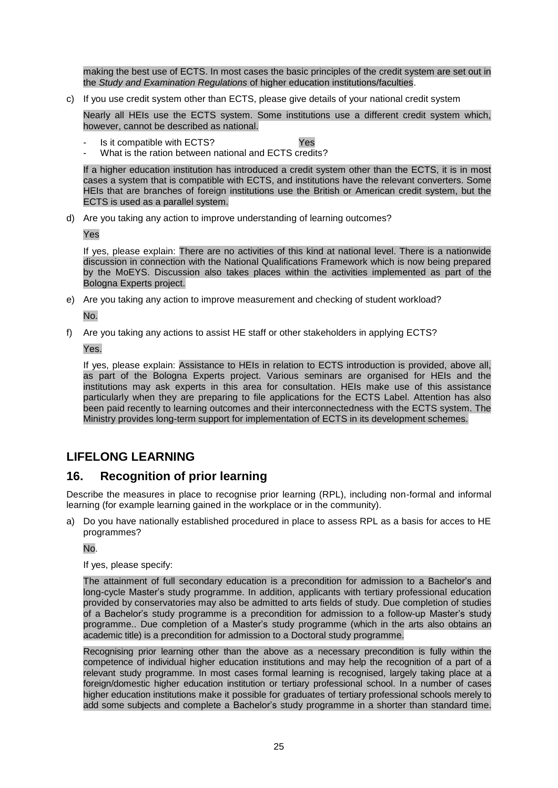making the best use of ECTS. In most cases the basic principles of the credit system are set out in the *Study and Examination Regulations* of higher education institutions/faculties.

c) If you use credit system other than ECTS, please give details of your national credit system

Nearly all HEIs use the ECTS system. Some institutions use a different credit system which, however, cannot be described as national.

Is it compatible with ECTS? The Mess

What is the ration between national and ECTS credits?

If a higher education institution has introduced a credit system other than the ECTS, it is in most cases a system that is compatible with ECTS, and institutions have the relevant converters. Some HEIs that are branches of foreign institutions use the British or American credit system, but the ECTS is used as a parallel system.

d) Are you taking any action to improve understanding of learning outcomes?

Yes

If yes, please explain: There are no activities of this kind at national level. There is a nationwide discussion in connection with the National Qualifications Framework which is now being prepared by the MoEYS. Discussion also takes places within the activities implemented as part of the Bologna Experts project.

- e) Are you taking any action to improve measurement and checking of student workload? No.
- f) Are you taking any actions to assist HE staff or other stakeholders in applying ECTS?

Yes.

If yes, please explain: Assistance to HEIs in relation to ECTS introduction is provided, above all, as part of the Bologna Experts project. Various seminars are organised for HEIs and the institutions may ask experts in this area for consultation. HEIs make use of this assistance particularly when they are preparing to file applications for the ECTS Label. Attention has also been paid recently to learning outcomes and their interconnectedness with the ECTS system. The Ministry provides long-term support for implementation of ECTS in its development schemes.

## **LIFELONG LEARNING**

### **16. Recognition of prior learning**

Describe the measures in place to recognise prior learning (RPL), including non-formal and informal learning (for example learning gained in the workplace or in the community).

a) Do you have nationally established procedured in place to assess RPL as a basis for acces to HE programmes?

No.

If yes, please specify:

The attainment of full secondary education is a precondition for admission to a Bachelor"s and long-cycle Master"s study programme. In addition, applicants with tertiary professional education provided by conservatories may also be admitted to arts fields of study. Due completion of studies of a Bachelor"s study programme is a precondition for admission to a follow-up Master"s study programme.. Due completion of a Master's study programme (which in the arts also obtains an academic title) is a precondition for admission to a Doctoral study programme.

Recognising prior learning other than the above as a necessary precondition is fully within the competence of individual higher education institutions and may help the recognition of a part of a relevant study programme. In most cases formal learning is recognised, largely taking place at a foreign/domestic higher education institution or tertiary professional school. In a number of cases higher education institutions make it possible for graduates of tertiary professional schools merely to add some subjects and complete a Bachelor"s study programme in a shorter than standard time.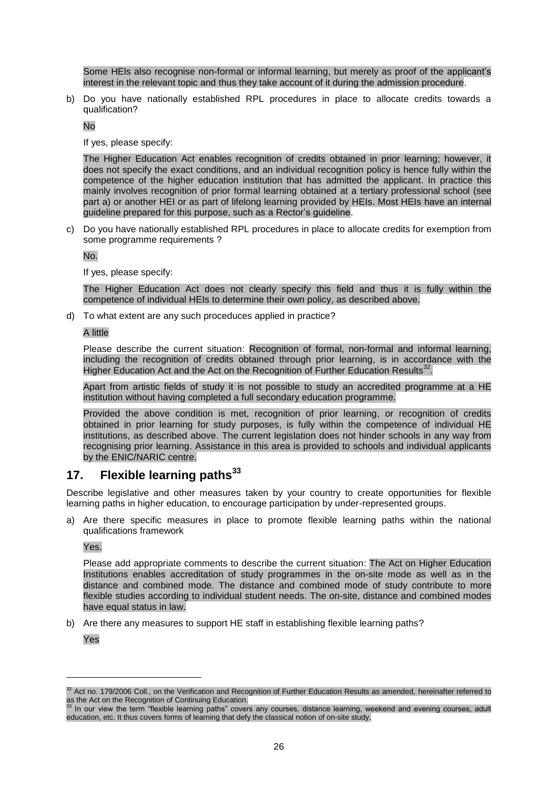Some HEIs also recognise non-formal or informal learning, but merely as proof of the applicant"s interest in the relevant topic and thus they take account of it during the admission procedure.

b) Do you have nationally established RPL procedures in place to allocate credits towards a qualification?

No

If yes, please specify:

The Higher Education Act enables recognition of credits obtained in prior learning; however, it does not specify the exact conditions, and an individual recognition policy is hence fully within the competence of the higher education institution that has admitted the applicant. In practice this mainly involves recognition of prior formal learning obtained at a tertiary professional school (see part a) or another HEI or as part of lifelong learning provided by HEIs. Most HEIs have an internal guideline prepared for this purpose, such as a Rector"s guideline.

c) Do you have nationally established RPL procedures in place to allocate credits for exemption from some programme requirements ?

No.

If yes, please specify:

The Higher Education Act does not clearly specify this field and thus it is fully within the competence of individual HEIs to determine their own policy, as described above.

d) To what extent are any such proceduces applied in practice?

#### A little

Please describe the current situation: Recognition of formal, non-formal and informal learning, including the recognition of credits obtained through prior learning, is in accordance with the Higher Education Act and the Act on the Recognition of Further Education Results $^{32}$ .

Apart from artistic fields of study it is not possible to study an accredited programme at a HE institution without having completed a full secondary education programme.

Provided the above condition is met, recognition of prior learning, or recognition of credits obtained in prior learning for study purposes, is fully within the competence of individual HE institutions, as described above. The current legislation does not hinder schools in any way from recognising prior learning. Assistance in this area is provided to schools and individual applicants by the ENIC/NARIC centre.

### **17. Flexible learning paths<sup>33</sup>**

Describe legislative and other measures taken by your country to create opportunities for flexible learning paths in higher education, to encourage participation by under-represented groups.

a) Are there specific measures in place to promote flexible learning paths within the national qualifications framework

Yes.

Please add appropriate comments to describe the current situation: The Act on Higher Education Institutions enables accreditation of study programmes in the on-site mode as well as in the distance and combined mode. The distance and combined mode of study contribute to more flexible studies according to individual student needs. The on-site, distance and combined modes have equal status in law.

b) Are there any measures to support HE staff in establishing flexible learning paths?

Yes

 $32$  Act no. 179/2006 Coll., on the Verification and Recognition of Further Education Results as amended, hereinafter referred to as the Act on the Recognition of Continuing Education.

In our view the term "flexible learning paths" covers any courses, distance learning, weekend and evening courses, adult education, etc. It thus covers forms of learning that defy the classical notion of on-site study.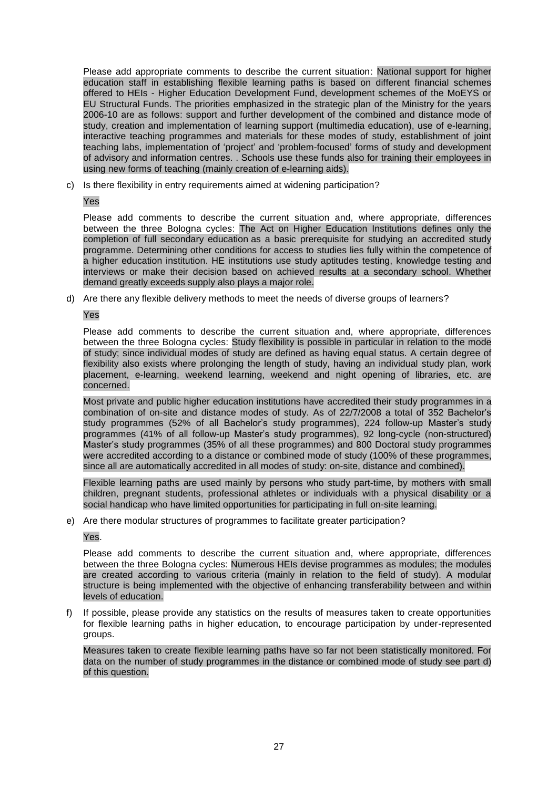Please add appropriate comments to describe the current situation: National support for higher education staff in establishing flexible learning paths is based on different financial schemes offered to HEIs - Higher Education Development Fund, development schemes of the MoEYS or EU Structural Funds. The priorities emphasized in the strategic plan of the Ministry for the years 2006-10 are as follows: support and further development of the combined and distance mode of study, creation and implementation of learning support (multimedia education), use of e-learning, interactive teaching programmes and materials for these modes of study, establishment of joint teaching labs, implementation of "project" and "problem-focused" forms of study and development of advisory and information centres. . Schools use these funds also for training their employees in using new forms of teaching (mainly creation of e-learning aids).

c) Is there flexibility in entry requirements aimed at widening participation?

#### Yes

Please add comments to describe the current situation and, where appropriate, differences between the three Bologna cycles: The Act on Higher Education Institutions defines only the completion of full secondary education as a basic prerequisite for studying an accredited study programme. Determining other conditions for access to studies lies fully within the competence of a higher education institution. HE institutions use study aptitudes testing, knowledge testing and interviews or make their decision based on achieved results at a secondary school. Whether demand greatly exceeds supply also plays a major role.

d) Are there any flexible delivery methods to meet the needs of diverse groups of learners?

Yes

Please add comments to describe the current situation and, where appropriate, differences between the three Bologna cycles: Study flexibility is possible in particular in relation to the mode of study; since individual modes of study are defined as having equal status. A certain degree of flexibility also exists where prolonging the length of study, having an individual study plan, work placement, e-learning, weekend learning, weekend and night opening of libraries, etc. are .<br>concerned.

Most private and public higher education institutions have accredited their study programmes in a combination of on-site and distance modes of study. As of 22/7/2008 a total of 352 Bachelor"s study programmes (52% of all Bachelor's study programmes), 224 follow-up Master's study programmes (41% of all follow-up Master"s study programmes), 92 long-cycle (non-structured) Master"s study programmes (35% of all these programmes) and 800 Doctoral study programmes were accredited according to a distance or combined mode of study (100% of these programmes, since all are automatically accredited in all modes of study: on-site, distance and combined).

Flexible learning paths are used mainly by persons who study part-time, by mothers with small children, pregnant students, professional athletes or individuals with a physical disability or a social handicap who have limited opportunities for participating in full on-site learning.

e) Are there modular structures of programmes to facilitate greater participation?

#### Yes.

Please add comments to describe the current situation and, where appropriate, differences between the three Bologna cycles: Numerous HEIs devise programmes as modules; the modules are created according to various criteria (mainly in relation to the field of study). A modular structure is being implemented with the objective of enhancing transferability between and within levels of education.

f) If possible, please provide any statistics on the results of measures taken to create opportunities for flexible learning paths in higher education, to encourage participation by under-represented groups.

Measures taken to create flexible learning paths have so far not been statistically monitored. For data on the number of study programmes in the distance or combined mode of study see part d) of this question.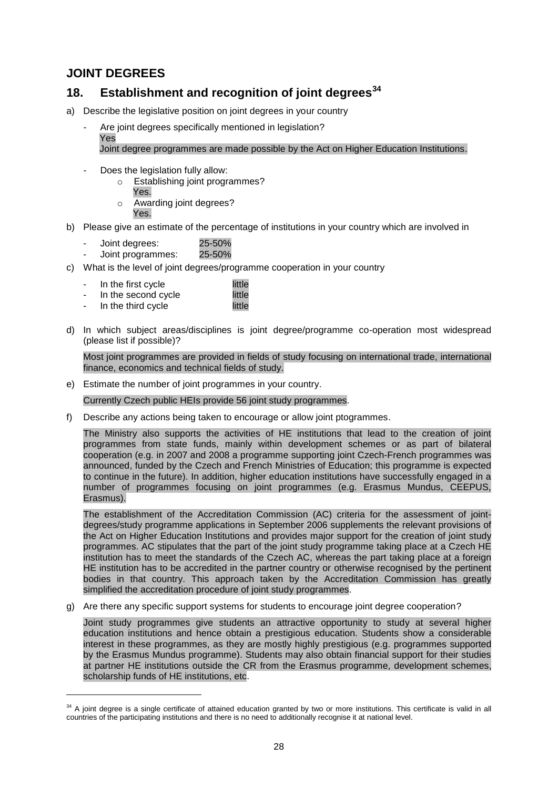## **JOINT DEGREES**

## **18. Establishment and recognition of joint degrees<sup>34</sup>**

- a) Describe the legislative position on joint degrees in your country
	- Are joint degrees specifically mentioned in legislation? Yes

Joint degree programmes are made possible by the Act on Higher Education Institutions.

- Does the legislation fully allow:
	- $\circ$  Establishing joint programmes?
	- Yes. o Awarding joint degrees? Yes.
- b) Please give an estimate of the percentage of institutions in your country which are involved in
	- Joint degrees: 25-50%

l

- Joint programmes: 25-50%
- c) What is the level of joint degrees/programme cooperation in your country
	- In the first cycle **in the first cycle little** In the second cycle **little**
	- In the third cycle **little**
- d) In which subject areas/disciplines is joint degree/programme co-operation most widespread (please list if possible)?

Most joint programmes are provided in fields of study focusing on international trade, international finance, economics and technical fields of study.

e) Estimate the number of joint programmes in your country.

#### Currently Czech public HEIs provide 56 joint study programmes.

f) Describe any actions being taken to encourage or allow joint ptogrammes.

The Ministry also supports the activities of HE institutions that lead to the creation of joint programmes from state funds, mainly within development schemes or as part of bilateral cooperation (e.g. in 2007 and 2008 a programme supporting joint Czech-French programmes was announced, funded by the Czech and French Ministries of Education; this programme is expected to continue in the future). In addition, higher education institutions have successfully engaged in a number of programmes focusing on joint programmes (e.g. Erasmus Mundus, CEEPUS, Erasmus).

The establishment of the Accreditation Commission (AC) criteria for the assessment of jointdegrees/study programme applications in September 2006 supplements the relevant provisions of the Act on Higher Education Institutions and provides major support for the creation of joint study programmes. AC stipulates that the part of the joint study programme taking place at a Czech HE institution has to meet the standards of the Czech AC, whereas the part taking place at a foreign HE institution has to be accredited in the partner country or otherwise recognised by the pertinent bodies in that country. This approach taken by the Accreditation Commission has greatly simplified the accreditation procedure of joint study programmes.

g) Are there any specific support systems for students to encourage joint degree cooperation?

Joint study programmes give students an attractive opportunity to study at several higher education institutions and hence obtain a prestigious education. Students show a considerable interest in these programmes, as they are mostly highly prestigious (e.g. programmes supported by the Erasmus Mundus programme). Students may also obtain financial support for their studies at partner HE institutions outside the CR from the Erasmus programme, development schemes, scholarship funds of HE institutions, etc.

<sup>&</sup>lt;sup>34</sup> A joint degree is a single certificate of attained education granted by two or more institutions. This certificate is valid in all countries of the participating institutions and there is no need to additionally recognise it at national level.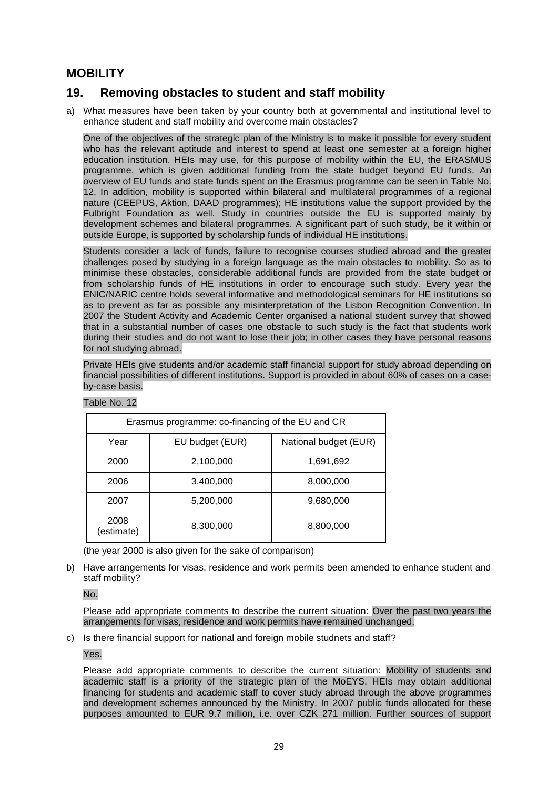## **MOBILITY**

## **19. Removing obstacles to student and staff mobility**

a) What measures have been taken by your country both at governmental and institutional level to enhance student and staff mobility and overcome main obstacles?

One of the objectives of the strategic plan of the Ministry is to make it possible for every student who has the relevant aptitude and interest to spend at least one semester at a foreign higher education institution. HEIs may use, for this purpose of mobility within the EU, the ERASMUS programme, which is given additional funding from the state budget beyond EU funds. An overview of EU funds and state funds spent on the Erasmus programme can be seen in Table No. 12. In addition, mobility is supported within bilateral and multilateral programmes of a regional nature (CEEPUS, Aktion, DAAD programmes); HE institutions value the support provided by the Fulbright Foundation as well. Study in countries outside the EU is supported mainly by development schemes and bilateral programmes. A significant part of such study, be it within or outside Europe, is supported by scholarship funds of individual HE institutions.

Students consider a lack of funds, failure to recognise courses studied abroad and the greater challenges posed by studying in a foreign language as the main obstacles to mobility. So as to minimise these obstacles, considerable additional funds are provided from the state budget or from scholarship funds of HE institutions in order to encourage such study. Every year the ENIC/NARIC centre holds several informative and methodological seminars for HE institutions so as to prevent as far as possible any misinterpretation of the Lisbon Recognition Convention. In 2007 the Student Activity and Academic Center organised a national student survey that showed that in a substantial number of cases one obstacle to such study is the fact that students work during their studies and do not want to lose their job; in other cases they have personal reasons for not studying abroad.

Private HEIs give students and/or academic staff financial support for study abroad depending on financial possibilities of different institutions. Support is provided in about 60% of cases on a caseby-case basis.

| Erasmus programme: co-financing of the EU and CR |                 |                       |  |  |  |  |  |  |
|--------------------------------------------------|-----------------|-----------------------|--|--|--|--|--|--|
| Year                                             | EU budget (EUR) | National budget (EUR) |  |  |  |  |  |  |
| 2000                                             | 2,100,000       | 1,691,692             |  |  |  |  |  |  |
| 2006                                             | 3,400,000       | 8,000,000             |  |  |  |  |  |  |
| 2007                                             | 5,200,000       | 9,680,000             |  |  |  |  |  |  |
| 2008<br>(estimate)                               | 8,300,000       | 8,800,000             |  |  |  |  |  |  |

#### Table No. 12

(the year 2000 is also given for the sake of comparison)

b) Have arrangements for visas, residence and work permits been amended to enhance student and staff mobility?

#### No.

Please add appropriate comments to describe the current situation: Over the past two years the arrangements for visas, residence and work permits have remained unchanged.

c) Is there financial support for national and foreign mobile studnets and staff?

### Yes.

Please add appropriate comments to describe the current situation: Mobility of students and academic staff is a priority of the strategic plan of the MoEYS. HEIs may obtain additional financing for students and academic staff to cover study abroad through the above programmes and development schemes announced by the Ministry. In 2007 public funds allocated for these purposes amounted to EUR 9.7 million, i.e. over CZK 271 million. Further sources of support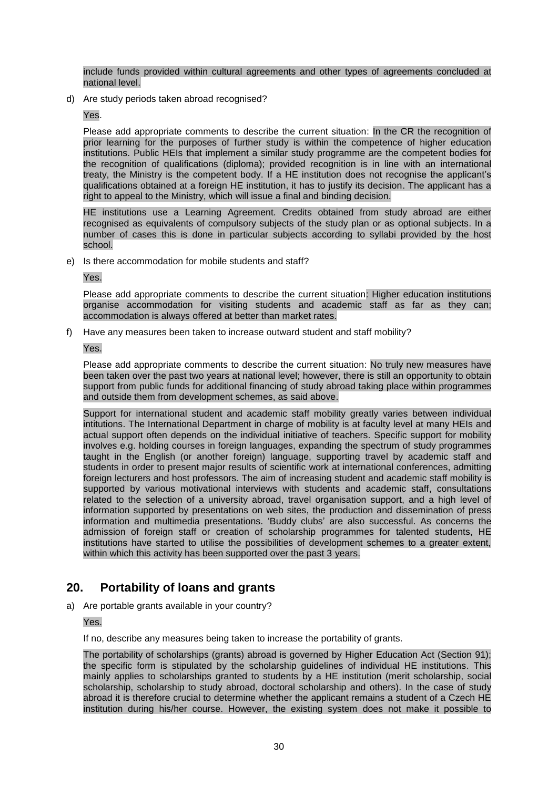include funds provided within cultural agreements and other types of agreements concluded at national level.

d) Are study periods taken abroad recognised?

Yes.

Please add appropriate comments to describe the current situation: In the CR the recognition of prior learning for the purposes of further study is within the competence of higher education institutions. Public HEIs that implement a similar study programme are the competent bodies for the recognition of qualifications (diploma); provided recognition is in line with an international treaty, the Ministry is the competent body. If a HE institution does not recognise the applicant"s qualifications obtained at a foreign HE institution, it has to justify its decision. The applicant has a right to appeal to the Ministry, which will issue a final and binding decision.

HE institutions use a Learning Agreement. Credits obtained from study abroad are either recognised as equivalents of compulsory subjects of the study plan or as optional subjects. In a number of cases this is done in particular subjects according to syllabi provided by the host school.

e) Is there accommodation for mobile students and staff?

Yes.

Please add appropriate comments to describe the current situation: Higher education institutions organise accommodation for visiting students and academic staff as far as they can; accommodation is always offered at better than market rates.

f) Have any measures been taken to increase outward student and staff mobility?

#### Yes.

Please add appropriate comments to describe the current situation: No truly new measures have been taken over the past two years at national level; however, there is still an opportunity to obtain support from public funds for additional financing of study abroad taking place within programmes and outside them from development schemes, as said above.

Support for international student and academic staff mobility greatly varies between individual intitutions. The International Department in charge of mobility is at faculty level at many HEIs and actual support often depends on the individual initiative of teachers. Specific support for mobility involves e.g. holding courses in foreign languages, expanding the spectrum of study programmes taught in the English (or another foreign) language, supporting travel by academic staff and students in order to present major results of scientific work at international conferences, admitting foreign lecturers and host professors. The aim of increasing student and academic staff mobility is supported by various motivational interviews with students and academic staff, consultations related to the selection of a university abroad, travel organisation support, and a high level of information supported by presentations on web sites, the production and dissemination of press information and multimedia presentations. "Buddy clubs" are also successful. As concerns the admission of foreign staff or creation of scholarship programmes for talented students, HE institutions have started to utilise the possibilities of development schemes to a greater extent, within which this activity has been supported over the past 3 years.

### **20. Portability of loans and grants**

a) Are portable grants available in your country?

Yes.

If no, describe any measures being taken to increase the portability of grants.

The portability of scholarships (grants) abroad is governed by Higher Education Act (Section 91); the specific form is stipulated by the scholarship guidelines of individual HE institutions. This mainly applies to scholarships granted to students by a HE institution (merit scholarship, social scholarship, scholarship to study abroad, doctoral scholarship and others). In the case of study abroad it is therefore crucial to determine whether the applicant remains a student of a Czech HE institution during his/her course. However, the existing system does not make it possible to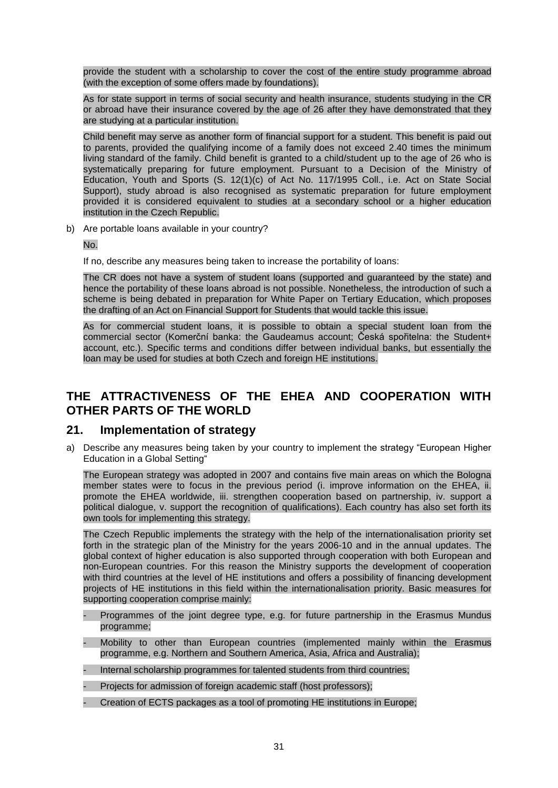provide the student with a scholarship to cover the cost of the entire study programme abroad (with the exception of some offers made by foundations).

As for state support in terms of social security and health insurance, students studying in the CR or abroad have their insurance covered by the age of 26 after they have demonstrated that they are studying at a particular institution.

Child benefit may serve as another form of financial support for a student. This benefit is paid out to parents, provided the qualifying income of a family does not exceed 2.40 times the minimum living standard of the family. Child benefit is granted to a child/student up to the age of 26 who is systematically preparing for future employment. Pursuant to a Decision of the Ministry of Education, Youth and Sports (S. 12(1)(c) of Act No. 117/1995 Coll., i.e. Act on State Social Support), study abroad is also recognised as systematic preparation for future employment provided it is considered equivalent to studies at a secondary school or a higher education institution in the Czech Republic.

b) Are portable loans available in your country?

No.

If no, describe any measures being taken to increase the portability of loans:

The CR does not have a system of student loans (supported and guaranteed by the state) and hence the portability of these loans abroad is not possible. Nonetheless, the introduction of such a scheme is being debated in preparation for White Paper on Tertiary Education, which proposes the drafting of an Act on Financial Support for Students that would tackle this issue.

As for commercial student loans, it is possible to obtain a special student loan from the commercial sector (Komerční banka: the Gaudeamus account; Česká spořitelna: the Student+ account, etc.). Specific terms and conditions differ between individual banks, but essentially the loan may be used for studies at both Czech and foreign HE institutions.

## **THE ATTRACTIVENESS OF THE EHEA AND COOPERATION WITH OTHER PARTS OF THE WORLD**

### **21. Implementation of strategy**

a) Describe any measures being taken by your country to implement the strategy "European Higher Education in a Global Setting"

The European strategy was adopted in 2007 and contains five main areas on which the Bologna member states were to focus in the previous period (i. improve information on the EHEA, ii. promote the EHEA worldwide, iii. strengthen cooperation based on partnership, iv. support a political dialogue, v. support the recognition of qualifications). Each country has also set forth its own tools for implementing this strategy.

The Czech Republic implements the strategy with the help of the internationalisation priority set forth in the strategic plan of the Ministry for the years 2006-10 and in the annual updates. The global context of higher education is also supported through cooperation with both European and non-European countries. For this reason the Ministry supports the development of cooperation with third countries at the level of HE institutions and offers a possibility of financing development projects of HE institutions in this field within the internationalisation priority. Basic measures for supporting cooperation comprise mainly:

- Programmes of the joint degree type, e.g. for future partnership in the Erasmus Mundus programme;
- Mobility to other than European countries (implemented mainly within the Erasmus programme, e.g. Northern and Southern America, Asia, Africa and Australia);
- Internal scholarship programmes for talented students from third countries;
- Projects for admission of foreign academic staff (host professors);
- Creation of ECTS packages as a tool of promoting HE institutions in Europe;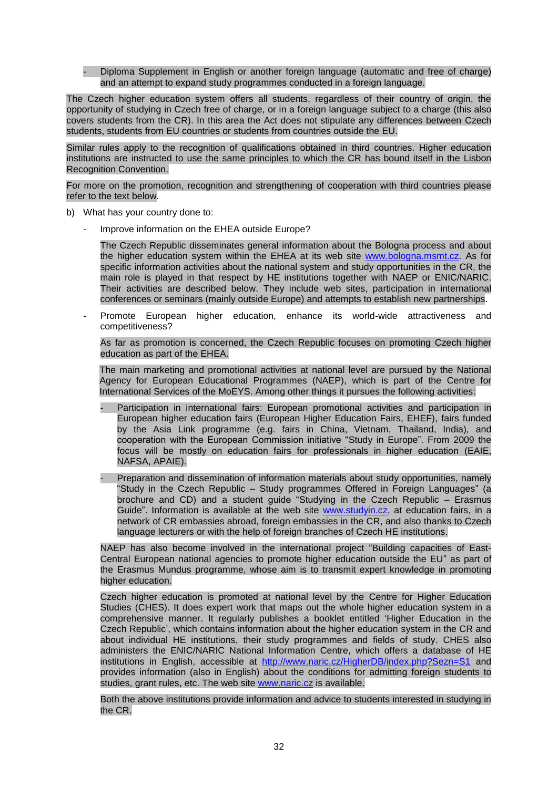Diploma Supplement in English or another foreign language (automatic and free of charge) and an attempt to expand study programmes conducted in a foreign language.

The Czech higher education system offers all students, regardless of their country of origin, the opportunity of studying in Czech free of charge, or in a foreign language subject to a charge (this also covers students from the CR). In this area the Act does not stipulate any differences between Czech students, students from EU countries or students from countries outside the EU.

Similar rules apply to the recognition of qualifications obtained in third countries. Higher education institutions are instructed to use the same principles to which the CR has bound itself in the Lisbon Recognition Convention.

For more on the promotion, recognition and strengthening of cooperation with third countries please refer to the text below.

- b) What has your country done to:
	- Improve information on the EHEA outside Europe?

The Czech Republic disseminates general information about the Bologna process and about the higher education system within the EHEA at its web site [www.bologna.msmt.cz.](http://www.bologna.msmt.cz/) As for specific information activities about the national system and study opportunities in the CR, the main role is played in that respect by HE institutions together with NAEP or ENIC/NARIC. Their activities are described below. They include web sites, participation in international conferences or seminars (mainly outside Europe) and attempts to establish new partnerships.

- Promote European higher education, enhance its world-wide attractiveness and competitiveness?

As far as promotion is concerned, the Czech Republic focuses on promoting Czech higher education as part of the EHEA.

The main marketing and promotional activities at national level are pursued by the National Agency for European Educational Programmes (NAEP), which is part of the Centre for International Services of the MoEYS. Among other things it pursues the following activities:

- Participation in international fairs: European promotional activities and participation in European higher education fairs (European Higher Education Fairs, EHEF), fairs funded by the Asia Link programme (e.g. fairs in China, Vietnam, Thailand, India), and cooperation with the European Commission initiative "Study in Europe". From 2009 the focus will be mostly on education fairs for professionals in higher education (EAIE, NAFSA, APAIE).
- Preparation and dissemination of information materials about study opportunities, namely "Study in the Czech Republic – Study programmes Offered in Foreign Languages" (a brochure and CD) and a student guide "Studying in the Czech Republic – Erasmus Guide". Information is available at the web site [www.studyin.cz,](http://www.studyin.cz/) at education fairs, in a network of CR embassies abroad, foreign embassies in the CR, and also thanks to Czech language lecturers or with the help of foreign branches of Czech HE institutions.

NAEP has also become involved in the international project "Building capacities of East-Central European national agencies to promote higher education outside the EU" as part of the Erasmus Mundus programme, whose aim is to transmit expert knowledge in promoting higher education.

Czech higher education is promoted at national level by the Centre for Higher Education Studies (CHES). It does expert work that maps out the whole higher education system in a comprehensive manner. It regularly publishes a booklet entitled "Higher Education in the Czech Republic', which contains information about the higher education system in the CR and about individual HE institutions, their study programmes and fields of study. CHES also administers the ENIC/NARIC National Information Centre, which offers a database of HE institutions in English, accessible at<http://www.naric.cz/HigherDB/index.php?Sezn=S1> and provides information (also in English) about the conditions for admitting foreign students to studies, grant rules, etc. The web site [www.naric.cz](http://www.naric.cz/) is available.

Both the above institutions provide information and advice to students interested in studying in the CR.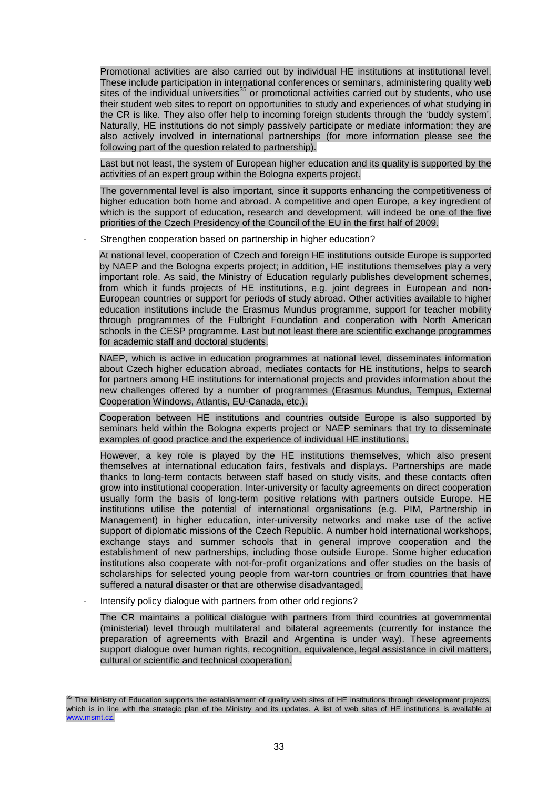Promotional activities are also carried out by individual HE institutions at institutional level. These include participation in international conferences or seminars, administering quality web sites of the individual universities<sup>35</sup> or promotional activities carried out by students, who use their student web sites to report on opportunities to study and experiences of what studying in the CR is like. They also offer help to incoming foreign students through the "buddy system". Naturally, HE institutions do not simply passively participate or mediate information; they are also actively involved in international partnerships (for more information please see the following part of the question related to partnership).

Last but not least, the system of European higher education and its quality is supported by the activities of an expert group within the Bologna experts project.

The governmental level is also important, since it supports enhancing the competitiveness of higher education both home and abroad. A competitive and open Europe, a key ingredient of which is the support of education, research and development, will indeed be one of the five priorities of the Czech Presidency of the Council of the EU in the first half of 2009.

Strengthen cooperation based on partnership in higher education?

At national level, cooperation of Czech and foreign HE institutions outside Europe is supported by NAEP and the Bologna experts project; in addition, HE institutions themselves play a very important role. As said, the Ministry of Education regularly publishes development schemes, from which it funds projects of HE institutions, e.g. joint degrees in European and non-European countries or support for periods of study abroad. Other activities available to higher education institutions include the Erasmus Mundus programme, support for teacher mobility through programmes of the Fulbright Foundation and cooperation with North American schools in the CESP programme. Last but not least there are scientific exchange programmes for academic staff and doctoral students.

NAEP, which is active in education programmes at national level, disseminates information about Czech higher education abroad, mediates contacts for HE institutions, helps to search for partners among HE institutions for international projects and provides information about the new challenges offered by a number of programmes (Erasmus Mundus, Tempus, External Cooperation Windows, Atlantis, EU-Canada, etc.).

Cooperation between HE institutions and countries outside Europe is also supported by seminars held within the Bologna experts project or NAEP seminars that try to disseminate examples of good practice and the experience of individual HE institutions.

However, a key role is played by the HE institutions themselves, which also present themselves at international education fairs, festivals and displays. Partnerships are made thanks to long-term contacts between staff based on study visits, and these contacts often grow into institutional cooperation. Inter-university or faculty agreements on direct cooperation usually form the basis of long-term positive relations with partners outside Europe. HE institutions utilise the potential of international organisations (e.g. PIM, Partnership in Management) in higher education, inter-university networks and make use of the active support of diplomatic missions of the Czech Republic. A number hold international workshops, exchange stays and summer schools that in general improve cooperation and the establishment of new partnerships, including those outside Europe. Some higher education institutions also cooperate with not-for-profit organizations and offer studies on the basis of scholarships for selected young people from war-torn countries or from countries that have suffered a natural disaster or that are otherwise disadvantaged.

Intensify policy dialogue with partners from other orld regions?

l

The CR maintains a political dialogue with partners from third countries at governmental (ministerial) level through multilateral and bilateral agreements (currently for instance the preparation of agreements with Brazil and Argentina is under way). These agreements support dialogue over human rights, recognition, equivalence, legal assistance in civil matters, cultural or scientific and technical cooperation.

The Ministry of Education supports the establishment of quality web sites of HE institutions through development projects, which is in line with the strategic plan of the Ministry and its updates. A list of web sites of HE institutions is available at www.msmt.cz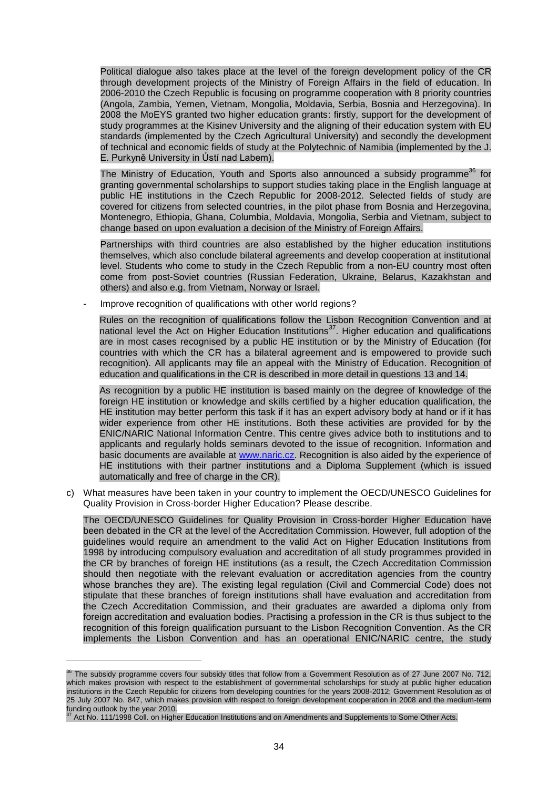Political dialogue also takes place at the level of the foreign development policy of the CR through development projects of the Ministry of Foreign Affairs in the field of education. In 2006-2010 the Czech Republic is focusing on programme cooperation with [8 priority](http://www.mzv.cz/wwwo/mzv/default.asp?ido=18878&idj=1&amb=1&ikony=False&trid=1&prsl=False&pocc1=) countries (Angola, Zambia, Yemen, Vietnam, Mongolia, Moldavia, Serbia, Bosnia and Herzegovina). In 2008 the MoEYS granted two higher education grants: firstly, support for the development of study programmes at the Kisinev University and the aligning of their education system with EU standards (implemented by the Czech Agricultural University) and secondly the development of technical and economic fields of study at the Polytechnic of Namibia (implemented by the J. E. Purkyně University in Ústí nad Labem).

The Ministry of Education, Youth and Sports also announced a subsidy programme<sup>36</sup> for granting governmental scholarships to support studies taking place in the English language at public HE institutions in the Czech Republic for 2008-2012. Selected fields of study are covered for citizens from selected countries, in the pilot phase from Bosnia and Herzegovina, Montenegro, Ethiopia, Ghana, Columbia, Moldavia, Mongolia, Serbia and Vietnam, subject to change based on upon evaluation a decision of the Ministry of Foreign Affairs.

Partnerships with third countries are also established by the higher education institutions themselves, which also conclude bilateral agreements and develop cooperation at institutional level. Students who come to study in the Czech Republic from a non-EU country most often come from post-Soviet countries (Russian Federation, Ukraine, Belarus, Kazakhstan and others) and also e.g. from Vietnam, Norway or Israel.

Improve recognition of qualifications with other world regions?

Rules on the recognition of qualifications follow the Lisbon Recognition Convention and at national level the Act on Higher Education Institutions<sup>37</sup>. Higher education and qualifications are in most cases recognised by a public HE institution or by the Ministry of Education (for countries with which the CR has a bilateral agreement and is empowered to provide such recognition). All applicants may file an appeal with the Ministry of Education. Recognition of education and qualifications in the CR is described in more detail in questions 13 and 14.

As recognition by a public HE institution is based mainly on the degree of knowledge of the foreign HE institution or knowledge and skills certified by a higher education qualification, the HE institution may better perform this task if it has an expert advisory body at hand or if it has wider experience from other HE institutions. Both these activities are provided for by the ENIC/NARIC National Information Centre. This centre gives advice both to institutions and to applicants and regularly holds seminars devoted to the issue of recognition. Information and basic documents are available at [www.naric.cz.](http://www.naric.cz/) Recognition is also aided by the experience of HE institutions with their partner institutions and a Diploma Supplement (which is issued automatically and free of charge in the CR).

c) What measures have been taken in your country to implement the OECD/UNESCO Guidelines for Quality Provision in Cross-border Higher Education? Please describe.

The OECD/UNESCO Guidelines for Quality Provision in Cross-border Higher Education have been debated in the CR at the level of the Accreditation Commission. However, full adoption of the guidelines would require an amendment to the valid Act on Higher Education Institutions from 1998 by introducing compulsory evaluation and accreditation of all study programmes provided in the CR by branches of foreign HE institutions (as a result, the Czech Accreditation Commission should then negotiate with the relevant evaluation or accreditation agencies from the country whose branches they are). The existing legal regulation (Civil and Commercial Code) does not stipulate that these branches of foreign institutions shall have evaluation and accreditation from the Czech Accreditation Commission, and their graduates are awarded a diploma only from foreign accreditation and evaluation bodies. Practising a profession in the CR is thus subject to the recognition of this foreign qualification pursuant to the Lisbon Recognition Convention. As the CR implements the Lisbon Convention and has an operational ENIC/NARIC centre, the study

 $36$  The subsidy programme covers four subsidy titles that follow from a Government Resolution as of 27 June 2007 No. 712, which makes provision with respect to the establishment of governmental scholarships for study at public higher education institutions in the Czech Republic for citizens from developing countries for the years 2008-2012; Government Resolution as of 25 July 2007 No. 847, which makes provision with respect to foreign development cooperation in 2008 and the medium-term funding outlook by the year 2010.

 $37$  Act No. 111/1998 Coll. on Higher Education Institutions and on Amendments and Supplements to Some Other Acts.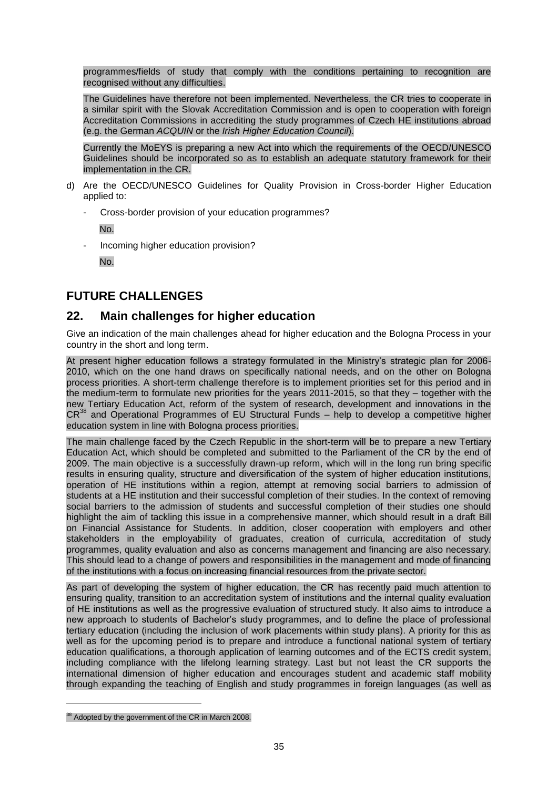programmes/fields of study that comply with the conditions pertaining to recognition are recognised without any difficulties.

The Guidelines have therefore not been implemented. Nevertheless, the CR tries to cooperate in a similar spirit with the Slovak Accreditation Commission and is open to cooperation with foreign Accreditation Commissions in accrediting the study programmes of Czech HE institutions abroad (e.g. the German *ACQUIN* or the *Irish Higher Education Council*).

Currently the MoEYS is preparing a new Act into which the requirements of the OECD/UNESCO Guidelines should be incorporated so as to establish an adequate statutory framework for their implementation in the CR.

- d) Are the OECD/UNESCO Guidelines for Quality Provision in Cross-border Higher Education applied to:
	- Cross-border provision of your education programmes?
		- No.
	- Incoming higher education provision?
		- No.

## **FUTURE CHALLENGES**

## **22. Main challenges for higher education**

Give an indication of the main challenges ahead for higher education and the Bologna Process in your country in the short and long term.

At present higher education follows a strategy formulated in the Ministry's strategic plan for 2006-2010, which on the one hand draws on specifically national needs, and on the other on Bologna process priorities. A short-term challenge therefore is to implement priorities set for this period and in the medium-term to formulate new priorities for the years 2011-2015, so that they – together with the new Tertiary Education Act, reform of the system of research, development and innovations in the CR<sup>38</sup> and Operational Programmes of EU Structural Funds – help to develop a competitive higher education system in line with Bologna process priorities.

The main challenge faced by the Czech Republic in the short-term will be to prepare a new Tertiary Education Act, which should be completed and submitted to the Parliament of the CR by the end of 2009. The main objective is a successfully drawn-up reform, which will in the long run bring specific results in ensuring quality, structure and diversification of the system of higher education institutions, operation of HE institutions within a region, attempt at removing social barriers to admission of students at a HE institution and their successful completion of their studies. In the context of removing social barriers to the admission of students and successful completion of their studies one should highlight the aim of tackling this issue in a comprehensive manner, which should result in a draft Bill on Financial Assistance for Students. In addition, closer cooperation with employers and other stakeholders in the employability of graduates, creation of curricula, accreditation of study programmes, quality evaluation and also as concerns management and financing are also necessary. This should lead to a change of powers and responsibilities in the management and mode of financing of the institutions with a focus on increasing financial resources from the private sector.

As part of developing the system of higher education, the CR has recently paid much attention to ensuring quality, transition to an accreditation system of institutions and the internal quality evaluation of HE institutions as well as the progressive evaluation of structured study. It also aims to introduce a new approach to students of Bachelor"s study programmes, and to define the place of professional tertiary education (including the inclusion of work placements within study plans). A priority for this as well as for the upcoming period is to prepare and introduce a functional national system of tertiary education qualifications, a thorough application of learning outcomes and of the ECTS credit system, including compliance with the lifelong learning strategy. Last but not least the CR supports the international dimension of higher education and encourages student and academic staff mobility through expanding the teaching of English and study programmes in foreign languages (as well as

<sup>&</sup>lt;sup>38</sup> Adopted by the government of the CR in March 2008.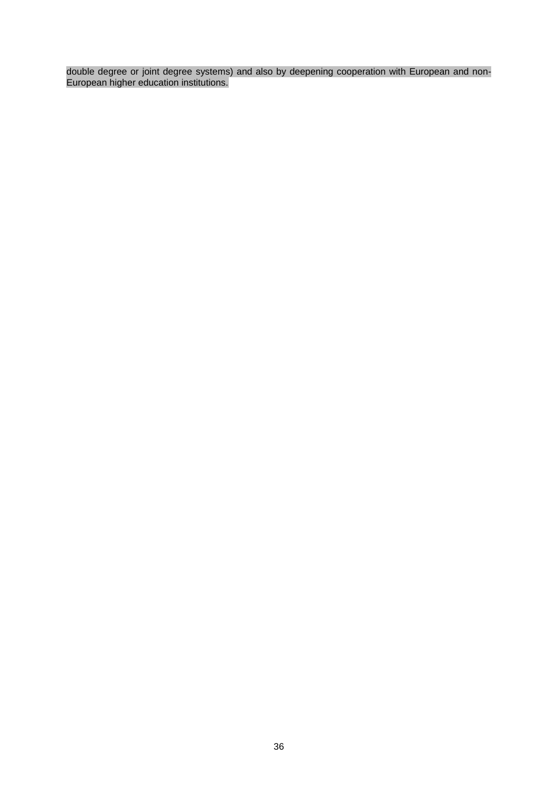double degree or joint degree systems) and also by deepening cooperation with European and non-European higher education institutions.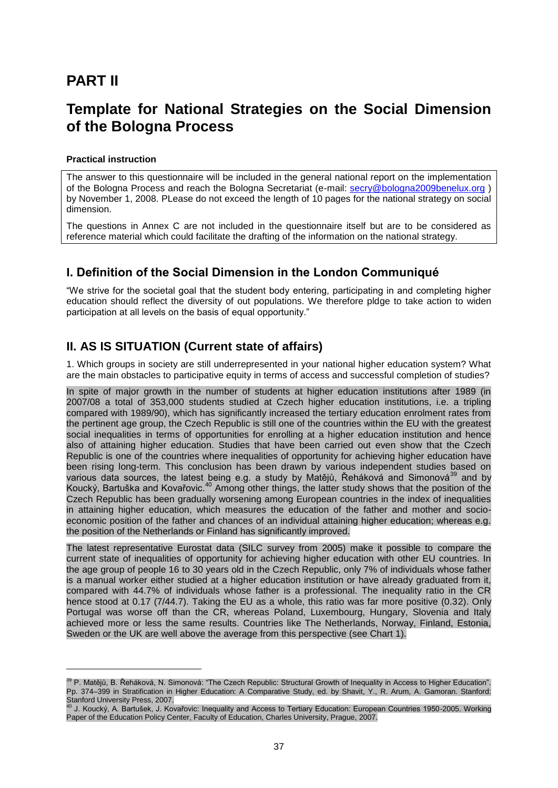# **PART II**

l

# **Template for National Strategies on the Social Dimension of the Bologna Process**

#### **Practical instruction**

The answer to this questionnaire will be included in the general national report on the implementation of the Bologna Process and reach the Bologna Secretariat (e-mail: [secry@bologna2009benelux.org](mailto:secry@bologna2009benelux.org) ) by November 1, 2008. PLease do not exceed the length of 10 pages for the national strategy on social dimension.

The questions in Annex C are not included in the questionnaire itself but are to be considered as reference material which could facilitate the drafting of the information on the national strategy.

## **I. Definition of the Social Dimension in the London Communiqué**

"We strive for the societal goal that the student body entering, participating in and completing higher education should reflect the diversity of out populations. We therefore pldge to take action to widen participation at all levels on the basis of equal opportunity."

## **II. AS IS SITUATION (Current state of affairs)**

1. Which groups in society are still underrepresented in your national higher education system? What are the main obstacles to participative equity in terms of access and successful completion of studies?

In spite of major growth in the number of students at higher education institutions after 1989 (in 2007/08 a total of 353,000 students studied at Czech higher education institutions, i.e. a tripling compared with 1989/90), which has significantly increased the tertiary education enrolment rates from the pertinent age group, the Czech Republic is still one of the countries within the EU with the greatest social inequalities in terms of opportunities for enrolling at a higher education institution and hence also of attaining higher education. Studies that have been carried out even show that the Czech Republic is one of the countries where inequalities of opportunity for achieving higher education have been rising long-term. This conclusion has been drawn by various independent studies based on various data sources, the latest being e.g. a study by Matějů. Řeháková and Simonová<sup>39</sup> and by Koucký, Bartuška and Kovařovic.<sup>40</sup> Among other things, the latter study shows that the position of the Czech Republic has been gradually worsening among European countries in the index of inequalities in attaining higher education, which measures the education of the father and mother and socioeconomic position of the father and chances of an individual attaining higher education; whereas e.g. the position of the Netherlands or Finland has significantly improved.

The latest representative Eurostat data (SILC survey from 2005) make it possible to compare the current state of inequalities of opportunity for achieving higher education with other EU countries. In the age group of people 16 to 30 years old in the Czech Republic, only 7% of individuals whose father is a manual worker either studied at a higher education institution or have already graduated from it, compared with 44.7% of individuals whose father is a professional. The inequality ratio in the CR hence stood at 0.17 (7/44.7). Taking the EU as a whole, this ratio was far more positive (0.32). Only Portugal was worse off than the CR, whereas Poland, Luxembourg, Hungary, Slovenia and Italy achieved more or less the same results. Countries like The Netherlands, Norway, Finland, Estonia, Sweden or the UK are well above the average from this perspective (see Chart 1).

<sup>&</sup>lt;sup>39</sup> P. Matějů, B. Řeháková, N. Simonová: "The Czech Republic: Structural Growth of Inequality in Access to Higher Education". Pp. 374–399 in Stratification in Higher Education: A Comparative Study, ed. by Shavit, Y., R. Arum, A. Gamoran. Stanford: Stanford University Press, 2007.

<sup>40</sup> J. Koucký, A. Bartušek, J. Kovařovic: Inequality and Access to Tertiary Education: European Countries 1950-2005. Working Paper of the Education Policy Center, Faculty of Education, Charles University, Prague, 2007.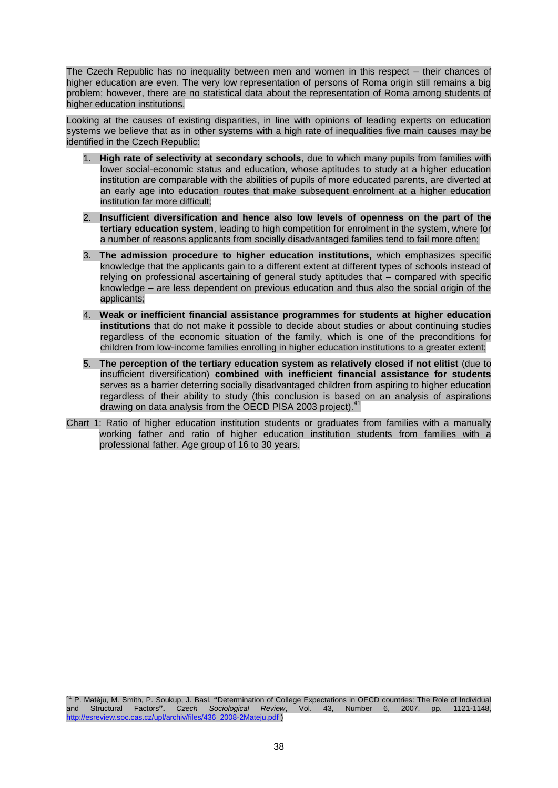The Czech Republic has no inequality between men and women in this respect – their chances of higher education are even. The very low representation of persons of Roma origin still remains a big problem; however, there are no statistical data about the representation of Roma among students of higher education institutions.

Looking at the causes of existing disparities, in line with opinions of leading experts on education systems we believe that as in other systems with a high rate of inequalities five main causes may be identified in the Czech Republic:

- 1. **High rate of selectivity at secondary schools**, due to which many pupils from families with lower social-economic status and education, whose aptitudes to study at a higher education institution are comparable with the abilities of pupils of more educated parents, are diverted at an early age into education routes that make subsequent enrolment at a higher education institution far more difficult;
- 2. **Insufficient diversification and hence also low levels of openness on the part of the tertiary education system**, leading to high competition for enrolment in the system, where for a number of reasons applicants from socially disadvantaged families tend to fail more often;
- 3. **The admission procedure to higher education institutions,** which emphasizes specific knowledge that the applicants gain to a different extent at different types of schools instead of relying on professional ascertaining of general study aptitudes that – compared with specific knowledge – are less dependent on previous education and thus also the social origin of the applicants;
- 4. **Weak or inefficient financial assistance programmes for students at higher education institutions** that do not make it possible to decide about studies or about continuing studies regardless of the economic situation of the family, which is one of the preconditions for children from low-income families enrolling in higher education institutions to a greater extent;
- 5. **The perception of the tertiary education system as relatively closed if not elitist** (due to insufficient diversification) **combined with inefficient financial assistance for students**  serves as a barrier deterring socially disadvantaged children from aspiring to higher education regardless of their ability to study (this conclusion is based on an analysis of aspirations drawing on data analysis from the OECD PISA 2003 project).<sup>41</sup>
- Chart 1: Ratio of higher education institution students or graduates from families with a manually working father and ratio of higher education institution students from families with a professional father. Age group of 16 to 30 years.

<sup>41</sup> P. Matějů, M. Smith, P. Soukup, J. Basl. **"**Determination of College Expectations in OECD countries: The Role of Individual and Structural Factors**".** *Czech Sociological Review*, Vol. 43, Number 6, 2007, pp. 1121-1148, [http://esreview.soc.cas.cz/upl/archiv/files/436\\_2008-2Mateju.pdf](http://esreview.soc.cas.cz/upl/archiv/files/436_2008-2Mateju.pdf) )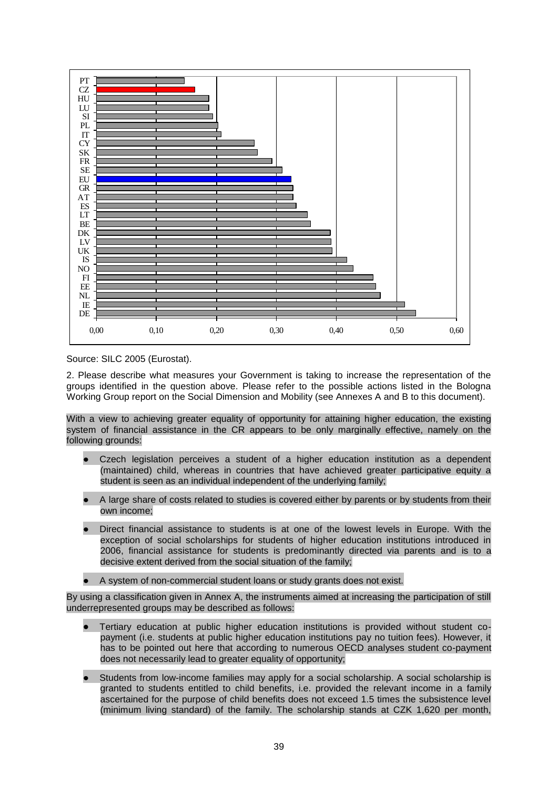

Source: SILC 2005 (Eurostat).

2. Please describe what measures your Government is taking to increase the representation of the groups identified in the question above. Please refer to the possible actions listed in the Bologna Working Group report on the Social Dimension and Mobility (see Annexes A and B to this document).

With a view to achieving greater equality of opportunity for attaining higher education, the existing system of financial assistance in the CR appears to be only marginally effective, namely on the following grounds:

- Czech legislation perceives a student of a higher education institution as a dependent (maintained) child, whereas in countries that have achieved greater participative equity a student is seen as an individual independent of the underlying family:
- A large share of costs related to studies is covered either by parents or by students from their own income;
- Direct financial assistance to students is at one of the lowest levels in Europe. With the exception of social scholarships for students of higher education institutions introduced in 2006, financial assistance for students is predominantly directed via parents and is to a decisive extent derived from the social situation of the family;
- A system of non-commercial student loans or study grants does not exist.

By using a classification given in Annex A, the instruments aimed at increasing the participation of still underrepresented groups may be described as follows:

- Tertiary education at public higher education institutions is provided without student copayment (i.e. students at public higher education institutions pay no tuition fees). However, it has to be pointed out here that according to numerous OECD analyses student co-payment does not necessarily lead to greater equality of opportunity;
- Students from low-income families may apply for a social scholarship. A social scholarship is granted to students entitled to child benefits, i.e. provided the relevant income in a family ascertained for the purpose of child benefits does not exceed 1.5 times the subsistence level (minimum living standard) of the family. The scholarship stands at CZK 1,620 per month,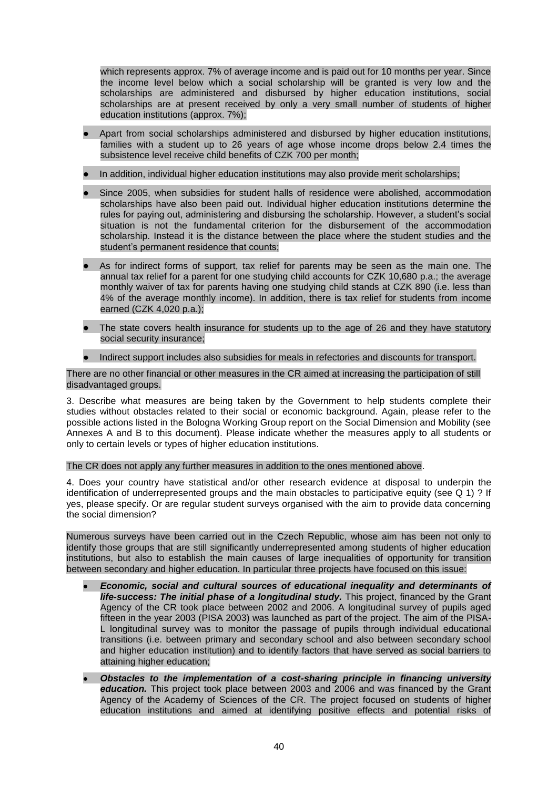which represents approx. 7% of average income and is paid out for 10 months per year. Since the income level below which a social scholarship will be granted is very low and the scholarships are administered and disbursed by higher education institutions, social scholarships are at present received by only a very small number of students of higher education institutions (approx. 7%);

- Apart from social scholarships administered and disbursed by higher education institutions, families with a student up to 26 years of age whose income drops below 2.4 times the subsistence level receive child benefits of CZK 700 per month;
- In addition, individual higher education institutions may also provide merit scholarships;
- Since 2005, when subsidies for student halls of residence were abolished, accommodation scholarships have also been paid out. Individual higher education institutions determine the rules for paying out, administering and disbursing the scholarship. However, a student"s social situation is not the fundamental criterion for the disbursement of the accommodation scholarship. Instead it is the distance between the place where the student studies and the student"s permanent residence that counts;
- As for indirect forms of support, tax relief for parents may be seen as the main one. The annual tax relief for a parent for one studying child accounts for CZK 10,680 p.a.; the average monthly waiver of tax for parents having one studying child stands at CZK 890 (i.e. less than 4% of the average monthly income). In addition, there is tax relief for students from income earned (CZK 4,020 p.a.);
- The state covers health insurance for students up to the age of 26 and they have statutory social security insurance;
- Indirect support includes also subsidies for meals in refectories and discounts for transport.

There are no other financial or other measures in the CR aimed at increasing the participation of still disadvantaged groups.

3. Describe what measures are being taken by the Government to help students complete their studies without obstacles related to their social or economic background. Again, please refer to the possible actions listed in the Bologna Working Group report on the Social Dimension and Mobility (see Annexes A and B to this document). Please indicate whether the measures apply to all students or only to certain levels or types of higher education institutions.

The CR does not apply any further measures in addition to the ones mentioned above.

4. Does your country have statistical and/or other research evidence at disposal to underpin the identification of underrepresented groups and the main obstacles to participative equity (see Q 1) ? If yes, please specify. Or are regular student surveys organised with the aim to provide data concerning the social dimension?

Numerous surveys have been carried out in the Czech Republic, whose aim has been not only to identify those groups that are still significantly underrepresented among students of higher education institutions, but also to establish the main causes of large inequalities of opportunity for transition between secondary and higher education. In particular three projects have focused on this issue:

- *Economic, social and cultural sources of educational inequality and determinants of life-success: The initial phase of a longitudinal study.* This project, financed by the Grant Agency of the CR took place between 2002 and 2006. A longitudinal survey of pupils aged fifteen in the year 2003 (PISA 2003) was launched as part of the project. The aim of the PISA-L longitudinal survey was to monitor the passage of pupils through individual educational transitions (i.e. between primary and secondary school and also between secondary school and higher education institution) and to identify factors that have served as social barriers to attaining higher education;
- *Obstacles to the implementation of a cost-sharing principle in financing university education.* This project took place between 2003 and 2006 and was financed by the Grant Agency of the Academy of Sciences of the CR. The project focused on students of higher education institutions and aimed at identifying positive effects and potential risks of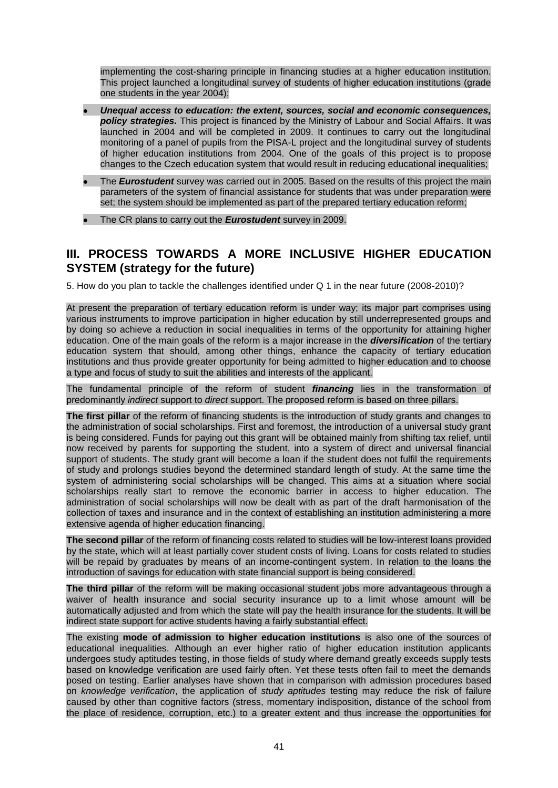implementing the cost-sharing principle in financing studies at a higher education institution. This project launched a longitudinal survey of students of higher education institutions (grade one students in the year 2004);

- *Unequal access to education: the extent, sources, social and economic consequences, policy strategies.* This project is financed by the Ministry of Labour and Social Affairs. It was launched in 2004 and will be completed in 2009. It continues to carry out the longitudinal monitoring of a panel of pupils from the PISA-L project and the longitudinal survey of students of higher education institutions from 2004. One of the goals of this project is to propose changes to the Czech education system that would result in reducing educational inequalities;
- The *Eurostudent* survey was carried out in 2005. Based on the results of this project the main parameters of the system of financial assistance for students that was under preparation were set; the system should be implemented as part of the prepared tertiary education reform;
- The CR plans to carry out the *Eurostudent* survey in 2009.

## **III. PROCESS TOWARDS A MORE INCLUSIVE HIGHER EDUCATION SYSTEM (strategy for the future)**

5. How do you plan to tackle the challenges identified under Q 1 in the near future (2008-2010)?

At present the preparation of tertiary education reform is under way; its major part comprises using various instruments to improve participation in higher education by still underrepresented groups and by doing so achieve a reduction in social inequalities in terms of the opportunity for attaining higher education. One of the main goals of the reform is a major increase in the *diversification* of the tertiary education system that should, among other things, enhance the capacity of tertiary education institutions and thus provide greater opportunity for being admitted to higher education and to choose a type and focus of study to suit the abilities and interests of the applicant.

The fundamental principle of the reform of student *financing* lies in the transformation of predominantly *indirect* support to *direct* support. The proposed reform is based on three pillars.

**The first pillar** of the reform of financing students is the introduction of study grants and changes to the administration of social scholarships. First and foremost, the introduction of a universal study grant is being considered. Funds for paying out this grant will be obtained mainly from shifting tax relief, until now received by parents for supporting the student, into a system of direct and universal financial support of students. The study grant will become a loan if the student does not fulfil the requirements of study and prolongs studies beyond the determined standard length of study. At the same time the system of administering social scholarships will be changed. This aims at a situation where social scholarships really start to remove the economic barrier in access to higher education. The administration of social scholarships will now be dealt with as part of the draft harmonisation of the collection of taxes and insurance and in the context of establishing an institution administering a more extensive agenda of higher education financing.

**The second pillar** of the reform of financing costs related to studies will be low-interest loans provided by the state, which will at least partially cover student costs of living. Loans for costs related to studies will be repaid by graduates by means of an income-contingent system. In relation to the loans the introduction of savings for education with state financial support is being considered.

**The third pillar** of the reform will be making occasional student jobs more advantageous through a waiver of health insurance and social security insurance up to a limit whose amount will be automatically adjusted and from which the state will pay the health insurance for the students. It will be indirect state support for active students having a fairly substantial effect.

The existing **mode of admission to higher education institutions** is also one of the sources of educational inequalities. Although an ever higher ratio of higher education institution applicants undergoes study aptitudes testing, in those fields of study where demand greatly exceeds supply tests based on knowledge verification are used fairly often. Yet these tests often fail to meet the demands posed on testing. Earlier analyses have shown that in comparison with admission procedures based on *knowledge verification*, the application of *study aptitudes* testing may reduce the risk of failure caused by other than cognitive factors (stress, momentary indisposition, distance of the school from the place of residence, corruption, etc.) to a greater extent and thus increase the opportunities for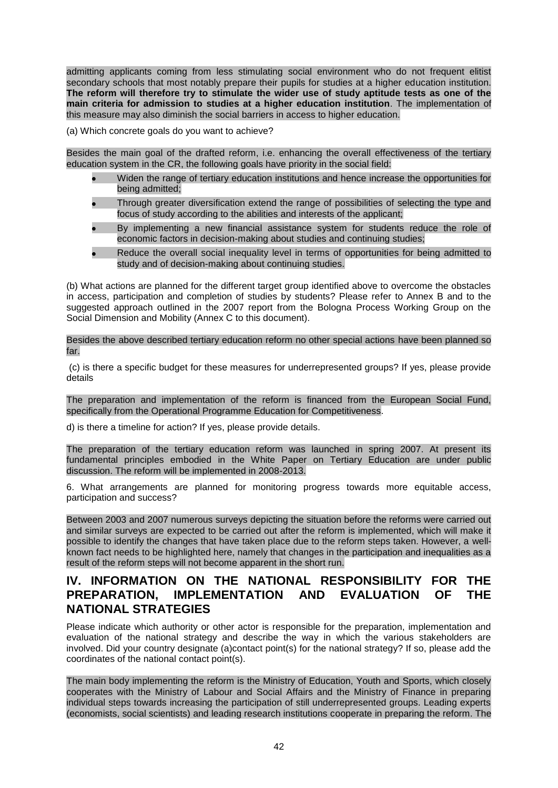admitting applicants coming from less stimulating social environment who do not frequent elitist secondary schools that most notably prepare their pupils for studies at a higher education institution. **The reform will therefore try to stimulate the wider use of study aptitude tests as one of the main criteria for admission to studies at a higher education institution**. The implementation of this measure may also diminish the social barriers in access to higher education.

(a) Which concrete goals do you want to achieve?

Besides the main goal of the drafted reform, i.e. enhancing the overall effectiveness of the tertiary education system in the CR, the following goals have priority in the social field:

- Widen the range of tertiary education institutions and hence increase the opportunities for being admitted;
- Through greater diversification extend the range of possibilities of selecting the type and focus of study according to the abilities and interests of the applicant;
- By implementing a new financial assistance system for students reduce the role of economic factors in decision-making about studies and continuing studies;
- Reduce the overall social inequality level in terms of opportunities for being admitted to study and of decision-making about continuing studies.

(b) What actions are planned for the different target group identified above to overcome the obstacles in access, participation and completion of studies by students? Please refer to Annex B and to the suggested approach outlined in the 2007 report from the Bologna Process Working Group on the Social Dimension and Mobility (Annex C to this document).

Besides the above described tertiary education reform no other special actions have been planned so far.

(c) is there a specific budget for these measures for underrepresented groups? If yes, please provide details

The preparation and implementation of the reform is financed from the European Social Fund, specifically from the Operational Programme Education for Competitiveness.

d) is there a timeline for action? If yes, please provide details.

The preparation of the tertiary education reform was launched in spring 2007. At present its fundamental principles embodied in the White Paper on Tertiary Education are under public discussion. The reform will be implemented in 2008-2013.

6. What arrangements are planned for monitoring progress towards more equitable access, participation and success?

Between 2003 and 2007 numerous surveys depicting the situation before the reforms were carried out and similar surveys are expected to be carried out after the reform is implemented, which will make it possible to identify the changes that have taken place due to the reform steps taken. However, a wellknown fact needs to be highlighted here, namely that changes in the participation and inequalities as a result of the reform steps will not become apparent in the short run.

### **IV. INFORMATION ON THE NATIONAL RESPONSIBILITY FOR THE PREPARATION, IMPLEMENTATION AND EVALUATION OF THE NATIONAL STRATEGIES**

Please indicate which authority or other actor is responsible for the preparation, implementation and evaluation of the national strategy and describe the way in which the various stakeholders are involved. Did your country designate (a)contact point(s) for the national strategy? If so, please add the coordinates of the national contact point(s).

The main body implementing the reform is the Ministry of Education, Youth and Sports, which closely cooperates with the Ministry of Labour and Social Affairs and the Ministry of Finance in preparing individual steps towards increasing the participation of still underrepresented groups. Leading experts (economists, social scientists) and leading research institutions cooperate in preparing the reform. The